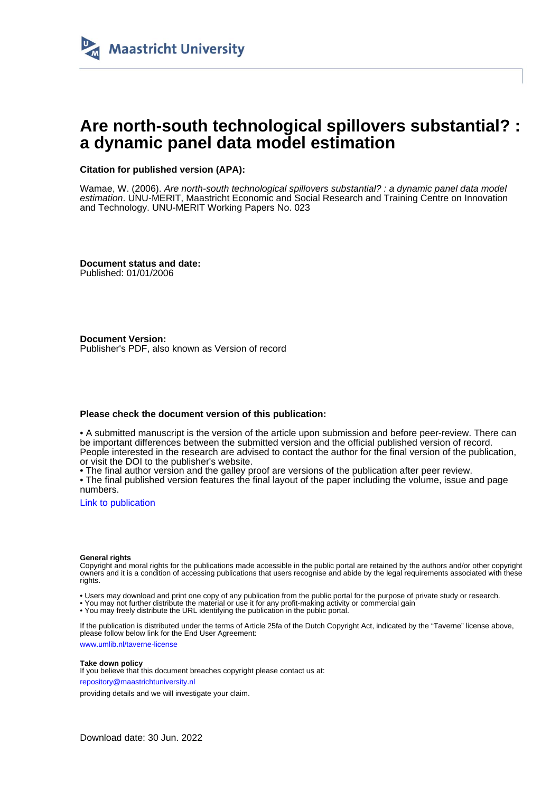

# **Are north-south technological spillovers substantial? : a dynamic panel data model estimation**

#### **Citation for published version (APA):**

Wamae, W. (2006). Are north-south technological spillovers substantial? : a dynamic panel data model estimation. UNU-MERIT, Maastricht Economic and Social Research and Training Centre on Innovation and Technology. UNU-MERIT Working Papers No. 023

**Document status and date:** Published: 01/01/2006

**Document Version:** Publisher's PDF, also known as Version of record

#### **Please check the document version of this publication:**

• A submitted manuscript is the version of the article upon submission and before peer-review. There can be important differences between the submitted version and the official published version of record. People interested in the research are advised to contact the author for the final version of the publication, or visit the DOI to the publisher's website.

• The final author version and the galley proof are versions of the publication after peer review.

• The final published version features the final layout of the paper including the volume, issue and page numbers.

[Link to publication](https://cris.maastrichtuniversity.nl/en/publications/dd3b3c13-c701-4577-83fc-0d0a0656797f)

#### **General rights**

Copyright and moral rights for the publications made accessible in the public portal are retained by the authors and/or other copyright owners and it is a condition of accessing publications that users recognise and abide by the legal requirements associated with these rights.

• Users may download and print one copy of any publication from the public portal for the purpose of private study or research.

• You may not further distribute the material or use it for any profit-making activity or commercial gain

• You may freely distribute the URL identifying the publication in the public portal.

If the publication is distributed under the terms of Article 25fa of the Dutch Copyright Act, indicated by the "Taverne" license above, please follow below link for the End User Agreement:

www.umlib.nl/taverne-license

#### **Take down policy**

If you believe that this document breaches copyright please contact us at: repository@maastrichtuniversity.nl

providing details and we will investigate your claim.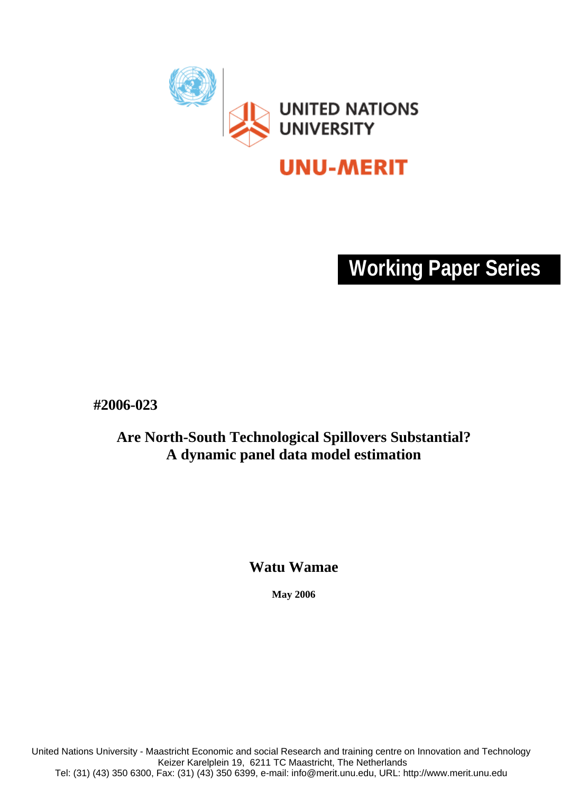

# **Working Paper Series**

**#2006-023** 

# **Are North-South Technological Spillovers Substantial? A dynamic panel data model estimation**

**Watu Wamae**

**May 2006** 

United Nations University - Maastricht Economic and social Research and training centre on Innovation and Technology Keizer Karelplein 19, 6211 TC Maastricht, The Netherlands Tel: (31) (43) 350 6300, Fax: (31) (43) 350 6399, e-mail: info@merit.unu.edu, URL: http://www.merit.unu.edu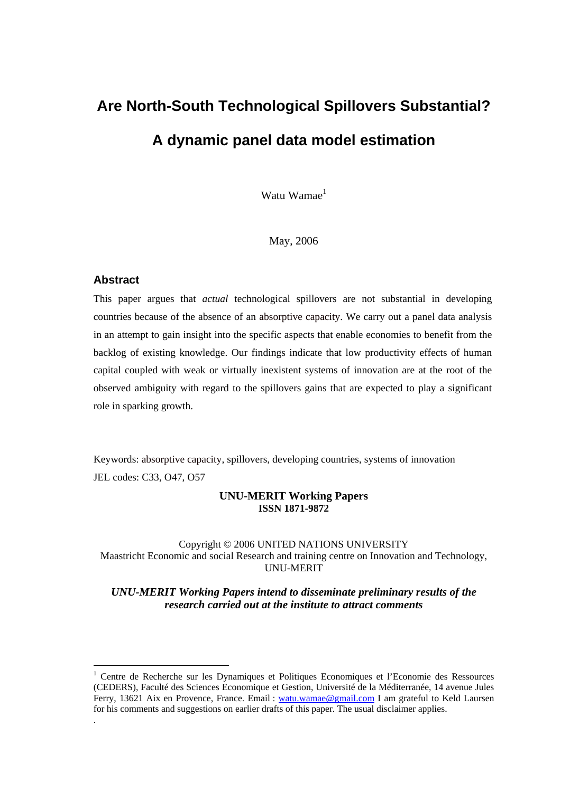# **Are North-South Technological Spillovers Substantial? A dynamic panel data model estimation**

Watu Wamae $<sup>1</sup>$ </sup>

May, 2006

#### **Abstract**

 $\overline{a}$ 

.

This paper argues that *actual* technological spillovers are not substantial in developing countries because of the absence of an absorptive capacity. We carry out a panel data analysis in an attempt to gain insight into the specific aspects that enable economies to benefit from the backlog of existing knowledge. Our findings indicate that low productivity effects of human capital coupled with weak or virtually inexistent systems of innovation are at the root of the observed ambiguity with regard to the spillovers gains that are expected to play a significant role in sparking growth.

Keywords: absorptive capacity, spillovers, developing countries, systems of innovation JEL codes: C33, O47, O57

#### **UNU-MERIT Working Papers ISSN 1871-9872**

#### Copyright © 2006 UNITED NATIONS UNIVERSITY Maastricht Economic and social Research and training centre on Innovation and Technology, UNU-MERIT

*UNU-MERIT Working Papers intend to disseminate preliminary results of the research carried out at the institute to attract comments* 

<sup>1</sup> Centre de Recherche sur les Dynamiques et Politiques Economiques et l'Economie des Ressources (CEDERS), Faculté des Sciences Economique et Gestion, Université de la Méditerranée, 14 avenue Jules Ferry, 13621 Aix en Provence, France. Email : watu.wamae@gmail.com I am grateful to Keld Laursen for his comments and suggestions on earlier drafts of this paper. The usual disclaimer applies.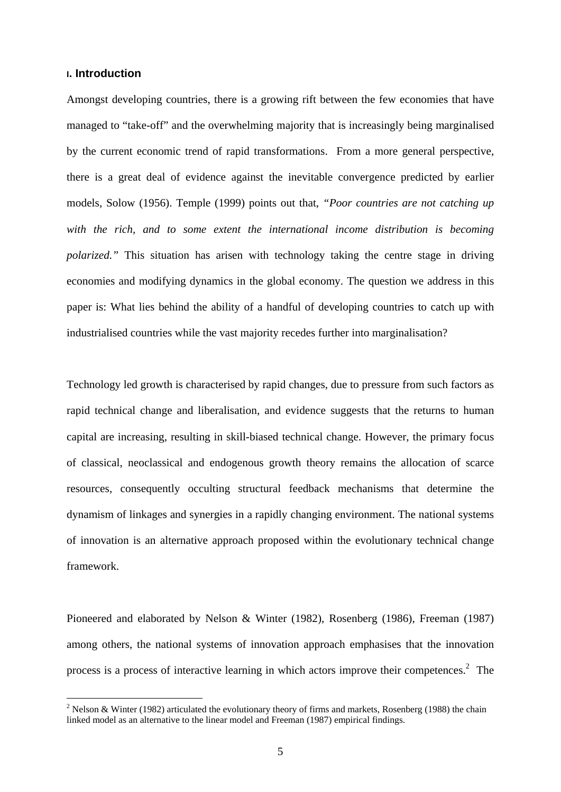#### **I. Introduction**

1

Amongst developing countries, there is a growing rift between the few economies that have managed to "take-off" and the overwhelming majority that is increasingly being marginalised by the current economic trend of rapid transformations. From a more general perspective, there is a great deal of evidence against the inevitable convergence predicted by earlier models, Solow (1956). Temple (1999) points out that, *"Poor countries are not catching up*  with the rich, and to some extent the international income distribution is becoming *polarized.*" This situation has arisen with technology taking the centre stage in driving economies and modifying dynamics in the global economy. The question we address in this paper is: What lies behind the ability of a handful of developing countries to catch up with industrialised countries while the vast majority recedes further into marginalisation?

Technology led growth is characterised by rapid changes, due to pressure from such factors as rapid technical change and liberalisation, and evidence suggests that the returns to human capital are increasing, resulting in skill-biased technical change. However, the primary focus of classical, neoclassical and endogenous growth theory remains the allocation of scarce resources, consequently occulting structural feedback mechanisms that determine the dynamism of linkages and synergies in a rapidly changing environment. The national systems of innovation is an alternative approach proposed within the evolutionary technical change framework.

Pioneered and elaborated by Nelson & Winter (1982), Rosenberg (1986), Freeman (1987) among others, the national systems of innovation approach emphasises that the innovation process is a process of interactive learning in which actors improve their competences. $2$  The

<sup>&</sup>lt;sup>2</sup> Nelson & Winter (1982) articulated the evolutionary theory of firms and markets, Rosenberg (1988) the chain linked model as an alternative to the linear model and Freeman (1987) empirical findings.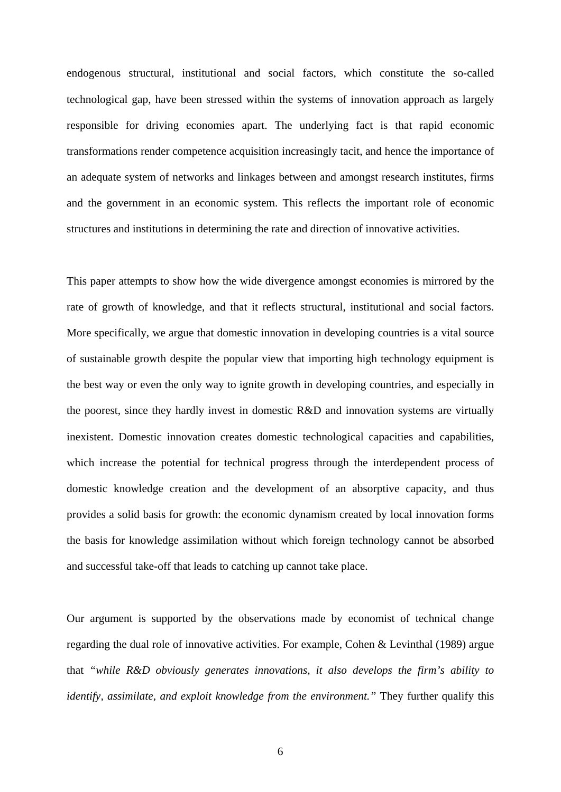endogenous structural, institutional and social factors, which constitute the so-called technological gap, have been stressed within the systems of innovation approach as largely responsible for driving economies apart. The underlying fact is that rapid economic transformations render competence acquisition increasingly tacit, and hence the importance of an adequate system of networks and linkages between and amongst research institutes, firms and the government in an economic system. This reflects the important role of economic structures and institutions in determining the rate and direction of innovative activities.

This paper attempts to show how the wide divergence amongst economies is mirrored by the rate of growth of knowledge, and that it reflects structural, institutional and social factors. More specifically, we argue that domestic innovation in developing countries is a vital source of sustainable growth despite the popular view that importing high technology equipment is the best way or even the only way to ignite growth in developing countries, and especially in the poorest, since they hardly invest in domestic R&D and innovation systems are virtually inexistent. Domestic innovation creates domestic technological capacities and capabilities, which increase the potential for technical progress through the interdependent process of domestic knowledge creation and the development of an absorptive capacity, and thus provides a solid basis for growth: the economic dynamism created by local innovation forms the basis for knowledge assimilation without which foreign technology cannot be absorbed and successful take-off that leads to catching up cannot take place.

Our argument is supported by the observations made by economist of technical change regarding the dual role of innovative activities. For example, Cohen & Levinthal (1989) argue that *"while R&D obviously generates innovations, it also develops the firm's ability to identify, assimilate, and exploit knowledge from the environment."* They further qualify this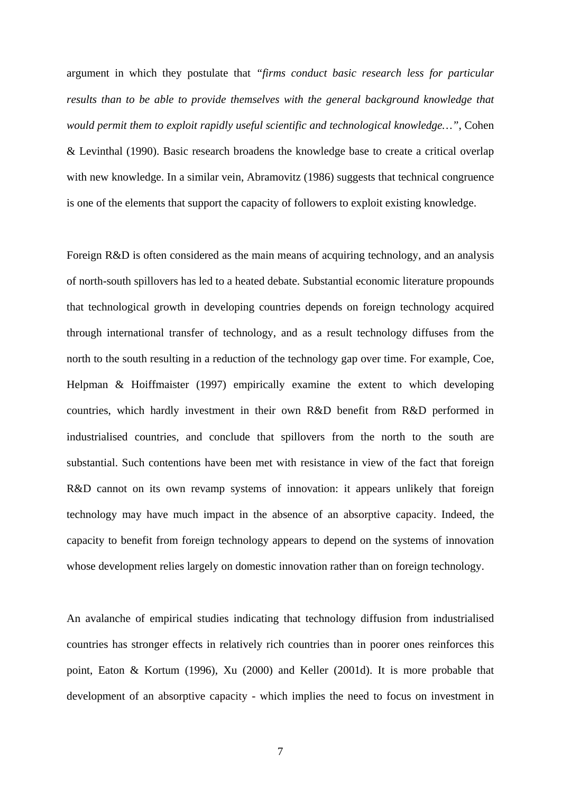argument in which they postulate that *"firms conduct basic research less for particular results than to be able to provide themselves with the general background knowledge that would permit them to exploit rapidly useful scientific and technological knowledge…"*, Cohen & Levinthal (1990). Basic research broadens the knowledge base to create a critical overlap with new knowledge. In a similar vein, Abramovitz (1986) suggests that technical congruence is one of the elements that support the capacity of followers to exploit existing knowledge.

Foreign R&D is often considered as the main means of acquiring technology, and an analysis of north-south spillovers has led to a heated debate. Substantial economic literature propounds that technological growth in developing countries depends on foreign technology acquired through international transfer of technology, and as a result technology diffuses from the north to the south resulting in a reduction of the technology gap over time. For example, Coe, Helpman & Hoiffmaister (1997) empirically examine the extent to which developing countries, which hardly investment in their own R&D benefit from R&D performed in industrialised countries, and conclude that spillovers from the north to the south are substantial. Such contentions have been met with resistance in view of the fact that foreign R&D cannot on its own revamp systems of innovation: it appears unlikely that foreign technology may have much impact in the absence of an absorptive capacity. Indeed, the capacity to benefit from foreign technology appears to depend on the systems of innovation whose development relies largely on domestic innovation rather than on foreign technology.

An avalanche of empirical studies indicating that technology diffusion from industrialised countries has stronger effects in relatively rich countries than in poorer ones reinforces this point, Eaton & Kortum (1996), Xu (2000) and Keller (2001d). It is more probable that development of an absorptive capacity - which implies the need to focus on investment in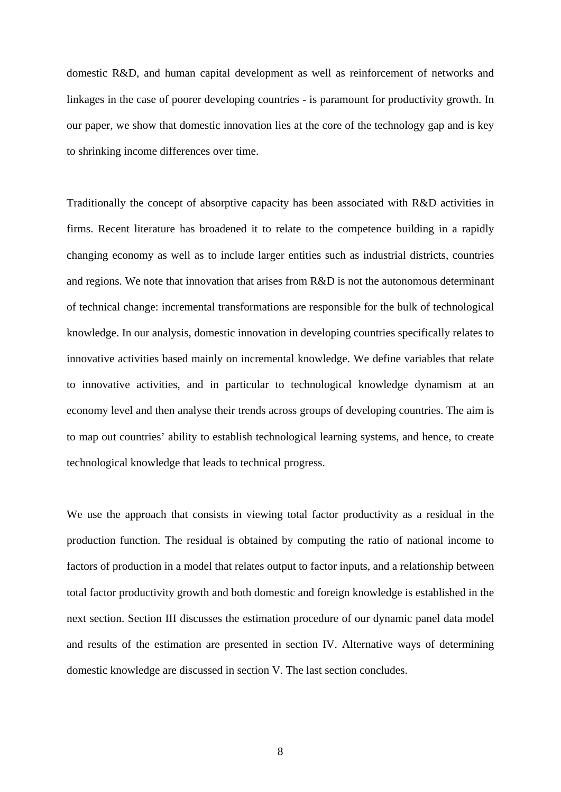domestic R&D, and human capital development as well as reinforcement of networks and linkages in the case of poorer developing countries - is paramount for productivity growth. In our paper, we show that domestic innovation lies at the core of the technology gap and is key to shrinking income differences over time.

Traditionally the concept of absorptive capacity has been associated with R&D activities in firms. Recent literature has broadened it to relate to the competence building in a rapidly changing economy as well as to include larger entities such as industrial districts, countries and regions. We note that innovation that arises from R&D is not the autonomous determinant of technical change: incremental transformations are responsible for the bulk of technological knowledge. In our analysis, domestic innovation in developing countries specifically relates to innovative activities based mainly on incremental knowledge. We define variables that relate to innovative activities, and in particular to technological knowledge dynamism at an economy level and then analyse their trends across groups of developing countries. The aim is to map out countries' ability to establish technological learning systems, and hence, to create technological knowledge that leads to technical progress.

We use the approach that consists in viewing total factor productivity as a residual in the production function. The residual is obtained by computing the ratio of national income to factors of production in a model that relates output to factor inputs, and a relationship between total factor productivity growth and both domestic and foreign knowledge is established in the next section. Section III discusses the estimation procedure of our dynamic panel data model and results of the estimation are presented in section IV. Alternative ways of determining domestic knowledge are discussed in section V. The last section concludes.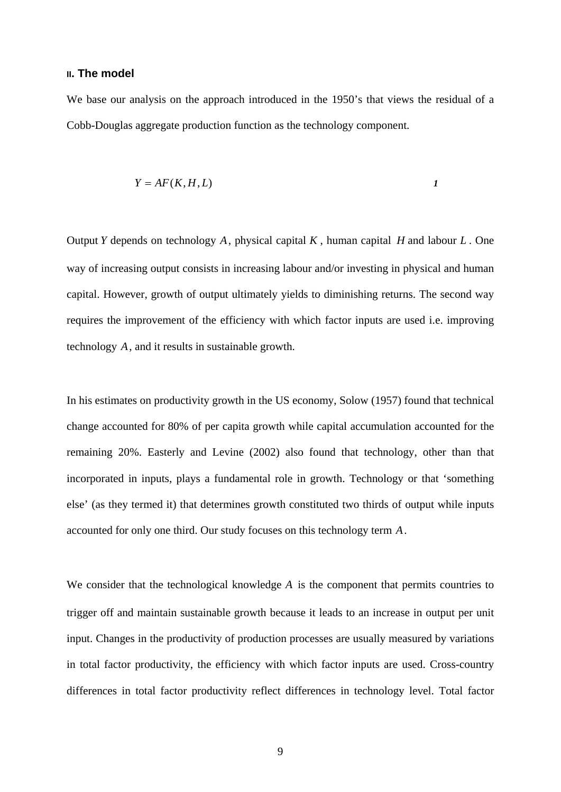#### **II. The model**

We base our analysis on the approach introduced in the 1950's that views the residual of a Cobb-Douglas aggregate production function as the technology component.

$$
Y = AF(K, H, L) \tag{1}
$$

Output *Y* depends on technology *A*, physical capital *K* , human capital *H* and labour *L* . One way of increasing output consists in increasing labour and/or investing in physical and human capital. However, growth of output ultimately yields to diminishing returns. The second way requires the improvement of the efficiency with which factor inputs are used i.e. improving technology *A*, and it results in sustainable growth.

In his estimates on productivity growth in the US economy, Solow (1957) found that technical change accounted for 80% of per capita growth while capital accumulation accounted for the remaining 20%. Easterly and Levine (2002) also found that technology, other than that incorporated in inputs, plays a fundamental role in growth. Technology or that 'something else' (as they termed it) that determines growth constituted two thirds of output while inputs accounted for only one third. Our study focuses on this technology term *A*.

We consider that the technological knowledge *A* is the component that permits countries to trigger off and maintain sustainable growth because it leads to an increase in output per unit input. Changes in the productivity of production processes are usually measured by variations in total factor productivity, the efficiency with which factor inputs are used. Cross-country differences in total factor productivity reflect differences in technology level. Total factor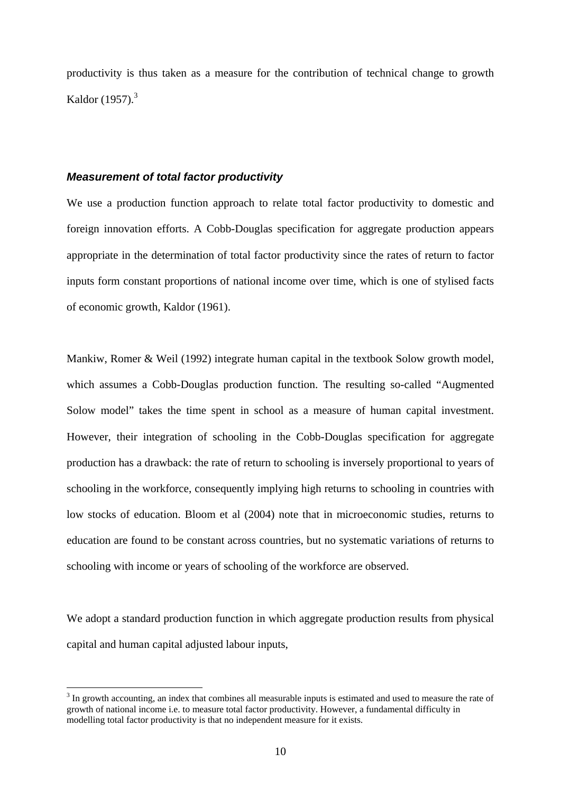productivity is thus taken as a measure for the contribution of technical change to growth Kaldor  $(1957).$ <sup>3</sup>

#### *Measurement of total factor productivity*

1

We use a production function approach to relate total factor productivity to domestic and foreign innovation efforts. A Cobb-Douglas specification for aggregate production appears appropriate in the determination of total factor productivity since the rates of return to factor inputs form constant proportions of national income over time, which is one of stylised facts of economic growth, Kaldor (1961).

Mankiw, Romer & Weil (1992) integrate human capital in the textbook Solow growth model, which assumes a Cobb-Douglas production function. The resulting so-called "Augmented Solow model" takes the time spent in school as a measure of human capital investment. However, their integration of schooling in the Cobb-Douglas specification for aggregate production has a drawback: the rate of return to schooling is inversely proportional to years of schooling in the workforce, consequently implying high returns to schooling in countries with low stocks of education. Bloom et al (2004) note that in microeconomic studies, returns to education are found to be constant across countries, but no systematic variations of returns to schooling with income or years of schooling of the workforce are observed.

We adopt a standard production function in which aggregate production results from physical capital and human capital adjusted labour inputs,

 $3$  In growth accounting, an index that combines all measurable inputs is estimated and used to measure the rate of growth of national income i.e. to measure total factor productivity. However, a fundamental difficulty in modelling total factor productivity is that no independent measure for it exists.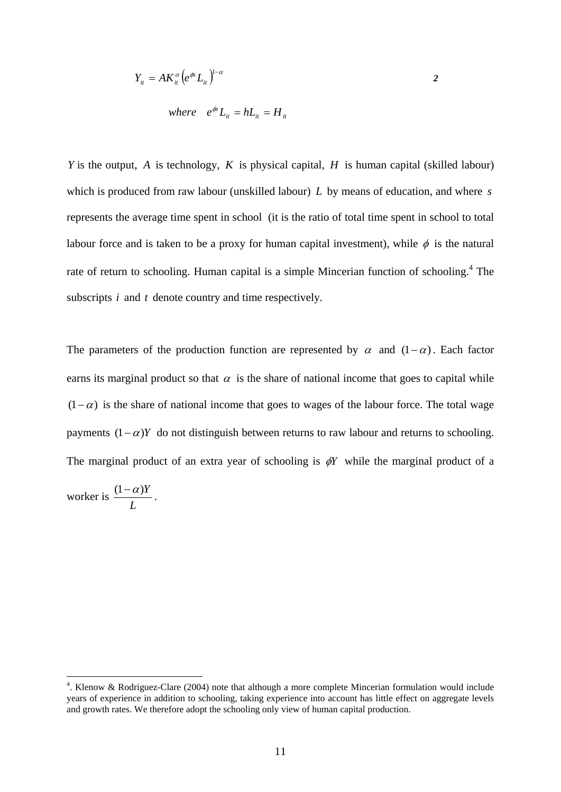$$
Y_{it} = AK_{it}^{\alpha} \left(e^{\phi t}L_{it}\right)^{1-\alpha} \tag{2}
$$

where 
$$
e^{\phi} L_{it} = h L_{it} = H_{it}
$$

*Y* is the output, *A* is technology, *K* is physical capital, *H* is human capital (skilled labour) which is produced from raw labour (unskilled labour) *L* by means of education, and where *s* represents the average time spent in school (it is the ratio of total time spent in school to total labour force and is taken to be a proxy for human capital investment), while  $\phi$  is the natural rate of return to schooling. Human capital is a simple Mincerian function of schooling.<sup>4</sup> The subscripts *i* and *t* denote country and time respectively.

The parameters of the production function are represented by  $\alpha$  and  $(1-\alpha)$ . Each factor earns its marginal product so that  $\alpha$  is the share of national income that goes to capital while  $(1-\alpha)$  is the share of national income that goes to wages of the labour force. The total wage payments  $(1-\alpha)Y$  do not distinguish between returns to raw labour and returns to schooling. The marginal product of an extra year of schooling is  $\phi Y$  while the marginal product of a

worker is *L*  $\frac{(1-\alpha)Y}{\alpha}$ .

1

<sup>&</sup>lt;sup>4</sup>. Klenow & Rodriguez-Clare (2004) note that although a more complete Mincerian formulation would include years of experience in addition to schooling, taking experience into account has little effect on aggregate levels and growth rates. We therefore adopt the schooling only view of human capital production.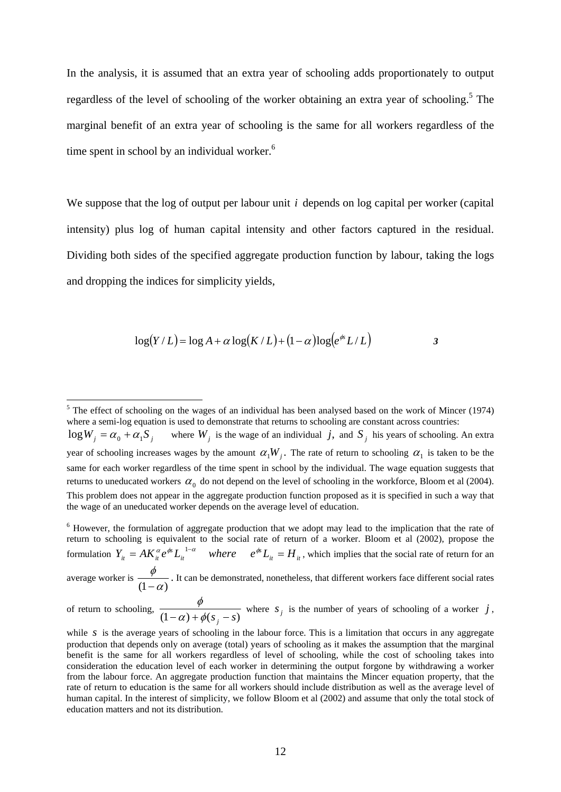In the analysis, it is assumed that an extra year of schooling adds proportionately to output regardless of the level of schooling of the worker obtaining an extra year of schooling.<sup>5</sup> The marginal benefit of an extra year of schooling is the same for all workers regardless of the time spent in school by an individual worker.<sup>6</sup>

We suppose that the log of output per labour unit *i* depends on log capital per worker (capital intensity) plus log of human capital intensity and other factors captured in the residual. Dividing both sides of the specified aggregate production function by labour, taking the logs and dropping the indices for simplicity yields,

$$
\log(Y/L) = \log A + \alpha \log(K/L) + (1 - \alpha) \log(e^{i\alpha} L/L)
$$
 3

<sup>6</sup> However, the formulation of aggregate production that we adopt may lead to the implication that the rate of return to schooling is equivalent to the social rate of return of a worker. Bloom et al (2002), propose the formulation  $Y_{it} = AK_{it}^{\alpha}e^{\phi s}L_{it}^{1-\alpha}$  where  $e^{\phi s}L_{it} = H_{it}$  $Y_{it} = AK_{it}^{\alpha}e^{\phi s}L_{it}^{1-\alpha}$  *where*  $e^{\phi s}L_{it} = H_{it}$ , which implies that the social rate of return for an average worker is  $\frac{\phi}{(1-\alpha)}$ . It can be demonstrated, nonetheless, that different workers face different social rates

<sup>&</sup>lt;sup>5</sup> The effect of schooling on the wages of an individual has been analysed based on the work of Mincer (1974) where a semi-log equation is used to demonstrate that returns to schooling are constant across countries:  $\log W_i = \alpha_0 + \alpha_1 S_i$  where  $W_i$  is the wage of an individual *j*, and  $S_i$  his years of schooling. An extra year of schooling increases wages by the amount  $\alpha_1 W_j$ . The rate of return to schooling  $\alpha_1$  is taken to be the same for each worker regardless of the time spent in school by the individual. The wage equation suggests that returns to uneducated workers  $\alpha_0$  do not depend on the level of schooling in the workforce, Bloom et al (2004). This problem does not appear in the aggregate production function proposed as it is specified in such a way that the wage of an uneducated worker depends on the average level of education.

of return to schooling,  $\frac{\phi}{(1-\alpha)+\phi(s_j-s)}$  where  $s_j$  is the number of years of schooling of a worker *j*,

while  $s$  is the average years of schooling in the labour force. This is a limitation that occurs in any aggregate production that depends only on average (total) years of schooling as it makes the assumption that the marginal benefit is the same for all workers regardless of level of schooling, while the cost of schooling takes into consideration the education level of each worker in determining the output forgone by withdrawing a worker from the labour force. An aggregate production function that maintains the Mincer equation property, that the rate of return to education is the same for all workers should include distribution as well as the average level of human capital. In the interest of simplicity, we follow Bloom et al (2002) and assume that only the total stock of education matters and not its distribution.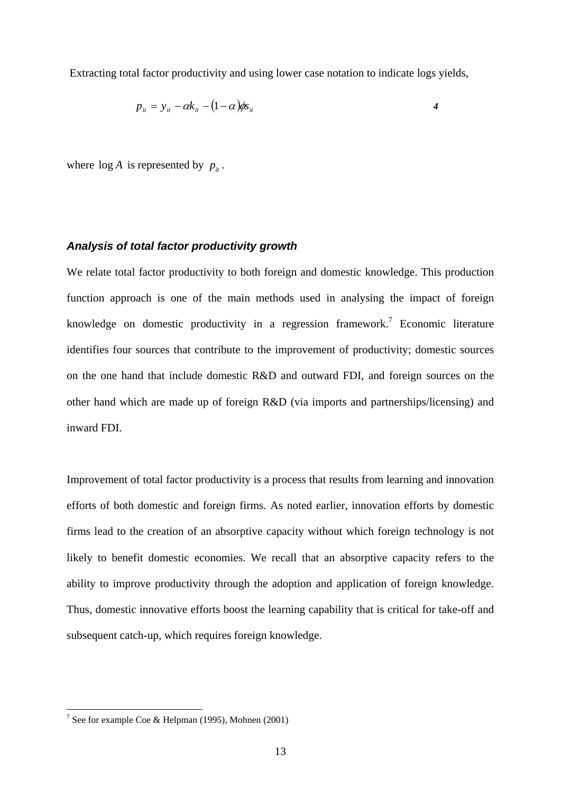Extracting total factor productivity and using lower case notation to indicate logs yields,

$$
p_{it} = y_{it} - \alpha k_{it} - (1 - \alpha) \phi s_{it}
$$

where  $\log A$  is represented by  $p_{it}$ .

#### *Analysis of total factor productivity growth*

We relate total factor productivity to both foreign and domestic knowledge. This production function approach is one of the main methods used in analysing the impact of foreign knowledge on domestic productivity in a regression framework.<sup>7</sup> Economic literature identifies four sources that contribute to the improvement of productivity; domestic sources on the one hand that include domestic R&D and outward FDI, and foreign sources on the other hand which are made up of foreign R&D (via imports and partnerships/licensing) and inward FDI.

Improvement of total factor productivity is a process that results from learning and innovation efforts of both domestic and foreign firms. As noted earlier, innovation efforts by domestic firms lead to the creation of an absorptive capacity without which foreign technology is not likely to benefit domestic economies. We recall that an absorptive capacity refers to the ability to improve productivity through the adoption and application of foreign knowledge. Thus, domestic innovative efforts boost the learning capability that is critical for take-off and subsequent catch-up, which requires foreign knowledge.

<sup>&</sup>lt;sup>7</sup> See for example Coe & Helpman (1995), Mohnen (2001)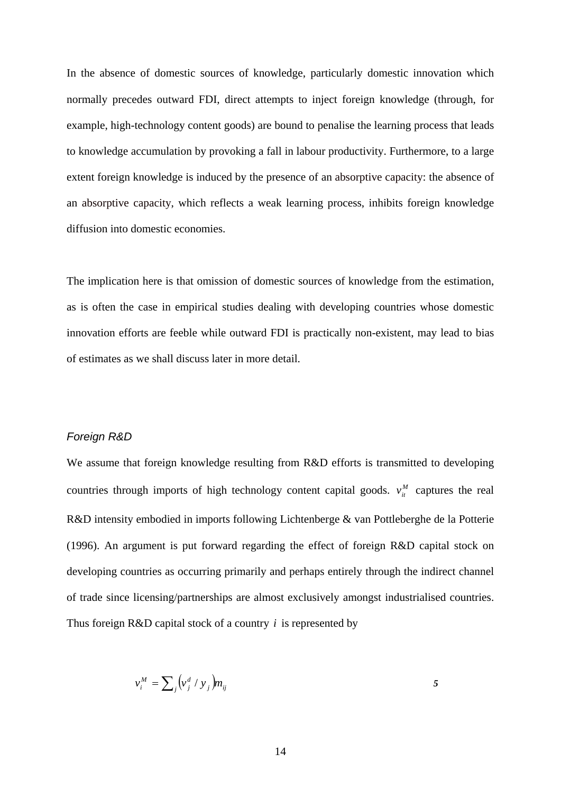In the absence of domestic sources of knowledge, particularly domestic innovation which normally precedes outward FDI, direct attempts to inject foreign knowledge (through, for example, high-technology content goods) are bound to penalise the learning process that leads to knowledge accumulation by provoking a fall in labour productivity. Furthermore, to a large extent foreign knowledge is induced by the presence of an absorptive capacity: the absence of an absorptive capacity, which reflects a weak learning process, inhibits foreign knowledge diffusion into domestic economies.

The implication here is that omission of domestic sources of knowledge from the estimation, as is often the case in empirical studies dealing with developing countries whose domestic innovation efforts are feeble while outward FDI is practically non-existent, may lead to bias of estimates as we shall discuss later in more detail.

#### *Foreign R&D*

We assume that foreign knowledge resulting from R&D efforts is transmitted to developing countries through imports of high technology content capital goods.  $v_{it}^M$  captures the real R&D intensity embodied in imports following Lichtenberge & van Pottleberghe de la Potterie (1996). An argument is put forward regarding the effect of foreign R&D capital stock on developing countries as occurring primarily and perhaps entirely through the indirect channel of trade since licensing/partnerships are almost exclusively amongst industrialised countries. Thus foreign R&D capital stock of a country *i* is represented by

$$
v_i^M = \sum_j \left(v_j^d / y_j\right) m_{ij} \tag{5}
$$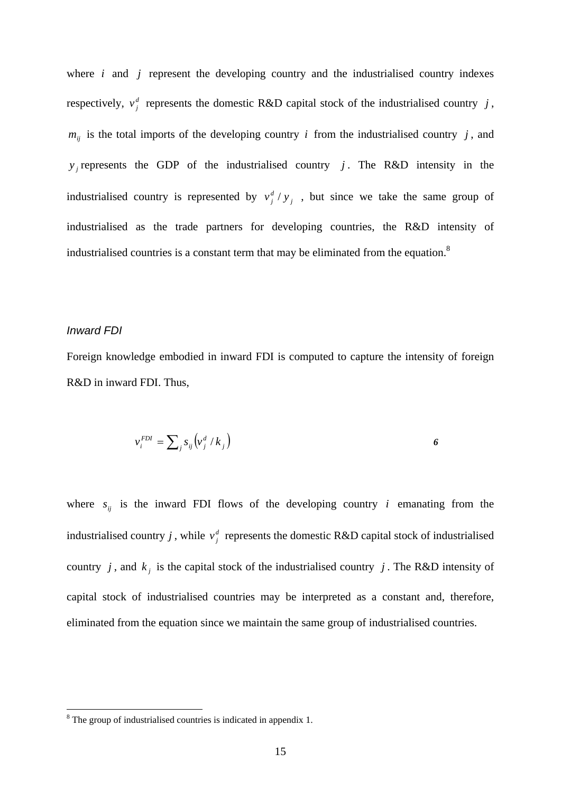where *i* and *j* represent the developing country and the industrialised country indexes respectively,  $v_j^d$  represents the domestic R&D capital stock of the industrialised country *j*,  $m_{ij}$  is the total imports of the developing country *i* from the industrialised country *j*, and  $y_j$  represents the GDP of the industrialised country *j*. The R&D intensity in the industrialised country is represented by  $v_j^d / y_j$ , but since we take the same group of industrialised as the trade partners for developing countries, the R&D intensity of industrialised countries is a constant term that may be eliminated from the equation.<sup>8</sup>

#### *Inward FDI*

Foreign knowledge embodied in inward FDI is computed to capture the intensity of foreign R&D in inward FDI. Thus,

$$
v_i^{FDI} = \sum_j s_{ij} \left( v_j^d / k_j \right)
$$

where  $s_{ij}$  is the inward FDI flows of the developing country *i* emanating from the industrialised country *j*, while  $v_j^d$  represents the domestic R&D capital stock of industrialised country *j*, and  $k_j$  is the capital stock of the industrialised country *j*. The R&D intensity of capital stock of industrialised countries may be interpreted as a constant and, therefore, eliminated from the equation since we maintain the same group of industrialised countries.

<sup>&</sup>lt;sup>8</sup> The group of industrialised countries is indicated in appendix 1.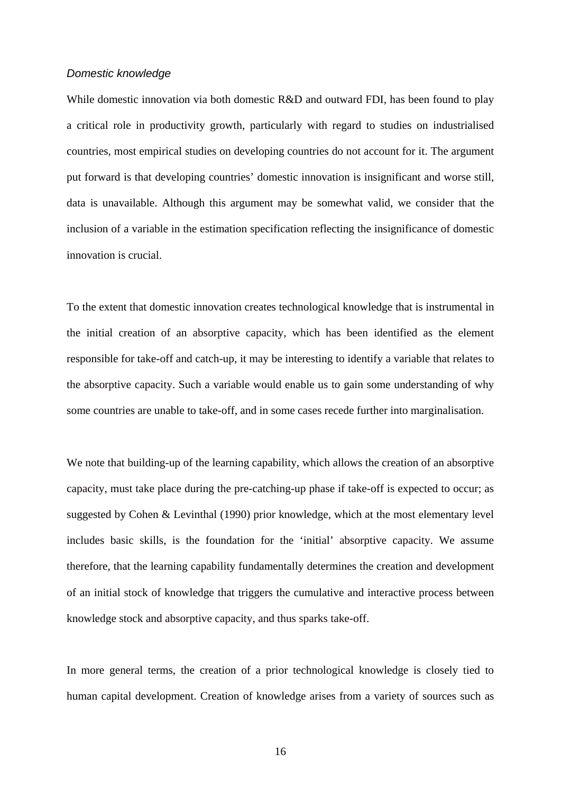#### *Domestic knowledge*

While domestic innovation via both domestic R&D and outward FDI, has been found to play a critical role in productivity growth, particularly with regard to studies on industrialised countries, most empirical studies on developing countries do not account for it. The argument put forward is that developing countries' domestic innovation is insignificant and worse still, data is unavailable. Although this argument may be somewhat valid, we consider that the inclusion of a variable in the estimation specification reflecting the insignificance of domestic innovation is crucial.

To the extent that domestic innovation creates technological knowledge that is instrumental in the initial creation of an absorptive capacity, which has been identified as the element responsible for take-off and catch-up, it may be interesting to identify a variable that relates to the absorptive capacity. Such a variable would enable us to gain some understanding of why some countries are unable to take-off, and in some cases recede further into marginalisation.

We note that building-up of the learning capability, which allows the creation of an absorptive capacity, must take place during the pre-catching-up phase if take-off is expected to occur; as suggested by Cohen & Levinthal (1990) prior knowledge, which at the most elementary level includes basic skills, is the foundation for the 'initial' absorptive capacity. We assume therefore, that the learning capability fundamentally determines the creation and development of an initial stock of knowledge that triggers the cumulative and interactive process between knowledge stock and absorptive capacity, and thus sparks take-off.

In more general terms, the creation of a prior technological knowledge is closely tied to human capital development. Creation of knowledge arises from a variety of sources such as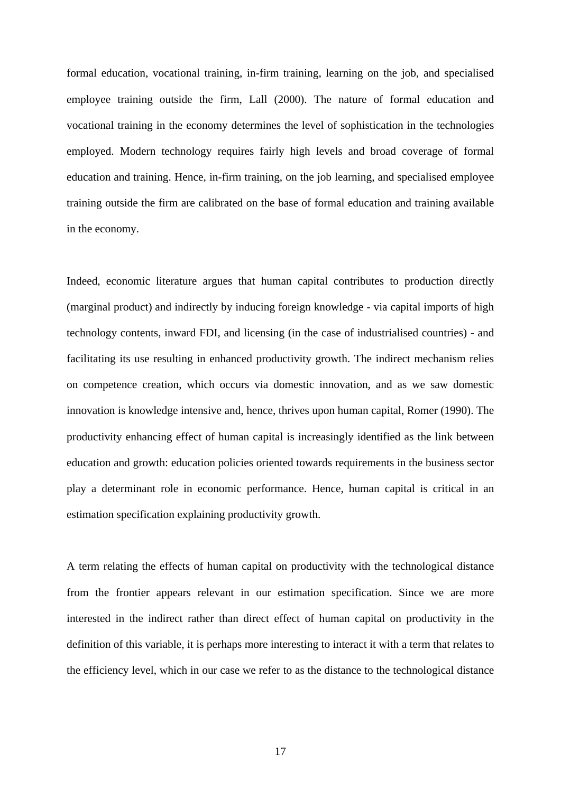formal education, vocational training, in-firm training, learning on the job, and specialised employee training outside the firm, Lall (2000). The nature of formal education and vocational training in the economy determines the level of sophistication in the technologies employed. Modern technology requires fairly high levels and broad coverage of formal education and training. Hence, in-firm training, on the job learning, and specialised employee training outside the firm are calibrated on the base of formal education and training available in the economy.

Indeed, economic literature argues that human capital contributes to production directly (marginal product) and indirectly by inducing foreign knowledge - via capital imports of high technology contents, inward FDI, and licensing (in the case of industrialised countries) - and facilitating its use resulting in enhanced productivity growth. The indirect mechanism relies on competence creation, which occurs via domestic innovation, and as we saw domestic innovation is knowledge intensive and, hence, thrives upon human capital, Romer (1990). The productivity enhancing effect of human capital is increasingly identified as the link between education and growth: education policies oriented towards requirements in the business sector play a determinant role in economic performance. Hence, human capital is critical in an estimation specification explaining productivity growth.

A term relating the effects of human capital on productivity with the technological distance from the frontier appears relevant in our estimation specification. Since we are more interested in the indirect rather than direct effect of human capital on productivity in the definition of this variable, it is perhaps more interesting to interact it with a term that relates to the efficiency level, which in our case we refer to as the distance to the technological distance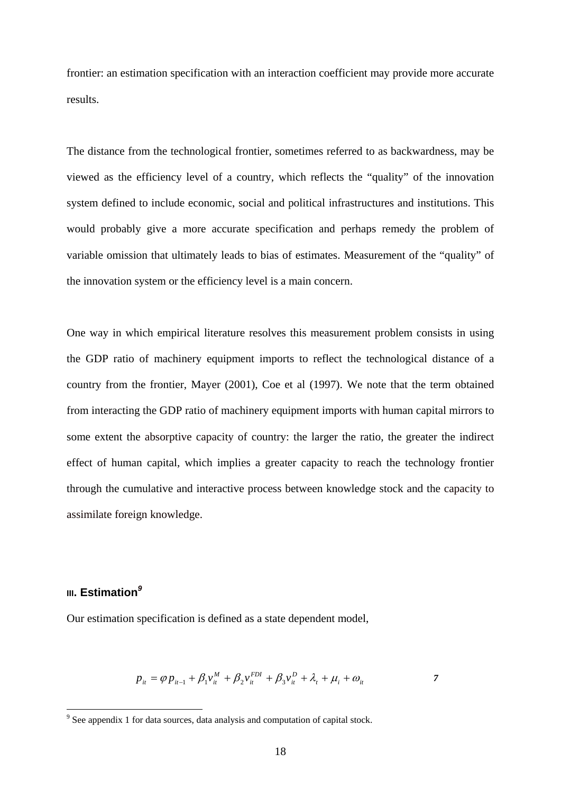frontier: an estimation specification with an interaction coefficient may provide more accurate results.

The distance from the technological frontier, sometimes referred to as backwardness, may be viewed as the efficiency level of a country, which reflects the "quality" of the innovation system defined to include economic, social and political infrastructures and institutions. This would probably give a more accurate specification and perhaps remedy the problem of variable omission that ultimately leads to bias of estimates. Measurement of the "quality" of the innovation system or the efficiency level is a main concern.

One way in which empirical literature resolves this measurement problem consists in using the GDP ratio of machinery equipment imports to reflect the technological distance of a country from the frontier, Mayer (2001), Coe et al (1997). We note that the term obtained from interacting the GDP ratio of machinery equipment imports with human capital mirrors to some extent the absorptive capacity of country: the larger the ratio, the greater the indirect effect of human capital, which implies a greater capacity to reach the technology frontier through the cumulative and interactive process between knowledge stock and the capacity to assimilate foreign knowledge.

### **III. Estimation***<sup>9</sup>*

Our estimation specification is defined as a state dependent model,

$$
p_{it} = \varphi p_{it-1} + \beta_1 v_{it}^M + \beta_2 v_{it}^{FDI} + \beta_3 v_{it}^D + \lambda_t + \mu_i + \omega_{it}
$$

See appendix 1 for data sources, data analysis and computation of capital stock.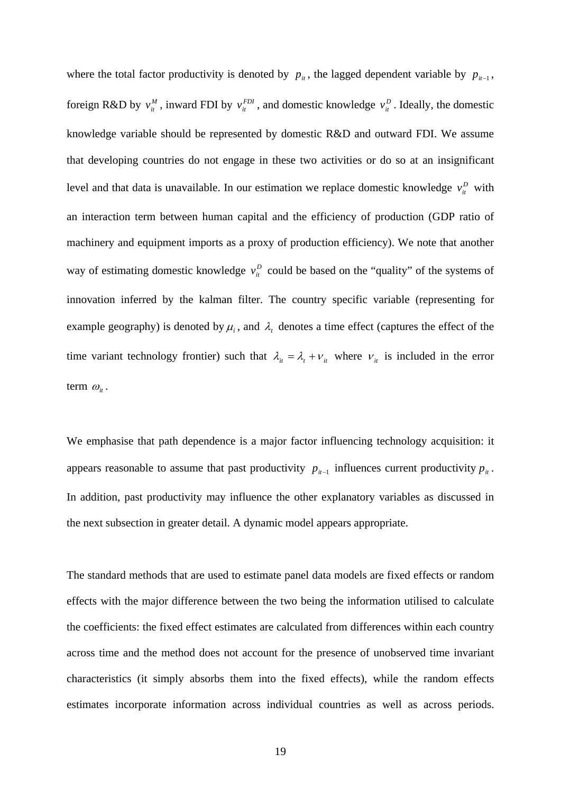where the total factor productivity is denoted by  $p_{i}$ , the lagged dependent variable by  $p_{i-1}$ , foreign R&D by  $v_i^M$ , inward FDI by  $v_i^{FD}$ , and domestic knowledge  $v_i^D$ . Ideally, the domestic knowledge variable should be represented by domestic R&D and outward FDI. We assume that developing countries do not engage in these two activities or do so at an insignificant level and that data is unavailable. In our estimation we replace domestic knowledge  $v_i^D$  with an interaction term between human capital and the efficiency of production (GDP ratio of machinery and equipment imports as a proxy of production efficiency). We note that another way of estimating domestic knowledge  $v_i^D$  could be based on the "quality" of the systems of innovation inferred by the kalman filter. The country specific variable (representing for example geography) is denoted by  $\mu_i$ , and  $\lambda_i$  denotes a time effect (captures the effect of the time variant technology frontier) such that  $\lambda_i = \lambda_i + v_i$  where  $v_i$  is included in the error term  $\omega_{i}$ .

We emphasise that path dependence is a major factor influencing technology acquisition: it appears reasonable to assume that past productivity  $p_{i-1}$  influences current productivity  $p_i$ . In addition, past productivity may influence the other explanatory variables as discussed in the next subsection in greater detail. A dynamic model appears appropriate.

The standard methods that are used to estimate panel data models are fixed effects or random effects with the major difference between the two being the information utilised to calculate the coefficients: the fixed effect estimates are calculated from differences within each country across time and the method does not account for the presence of unobserved time invariant characteristics (it simply absorbs them into the fixed effects), while the random effects estimates incorporate information across individual countries as well as across periods.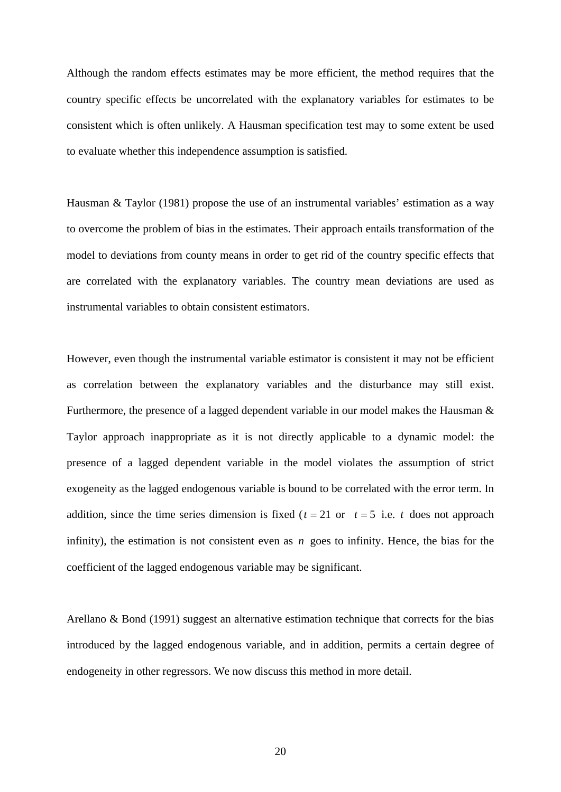Although the random effects estimates may be more efficient, the method requires that the country specific effects be uncorrelated with the explanatory variables for estimates to be consistent which is often unlikely. A Hausman specification test may to some extent be used to evaluate whether this independence assumption is satisfied.

Hausman & Taylor (1981) propose the use of an instrumental variables' estimation as a way to overcome the problem of bias in the estimates. Their approach entails transformation of the model to deviations from county means in order to get rid of the country specific effects that are correlated with the explanatory variables. The country mean deviations are used as instrumental variables to obtain consistent estimators.

However, even though the instrumental variable estimator is consistent it may not be efficient as correlation between the explanatory variables and the disturbance may still exist. Furthermore, the presence of a lagged dependent variable in our model makes the Hausman & Taylor approach inappropriate as it is not directly applicable to a dynamic model: the presence of a lagged dependent variable in the model violates the assumption of strict exogeneity as the lagged endogenous variable is bound to be correlated with the error term. In addition, since the time series dimension is fixed ( $t = 21$  or  $t = 5$  i.e.  $t$  does not approach infinity), the estimation is not consistent even as *n* goes to infinity. Hence, the bias for the coefficient of the lagged endogenous variable may be significant.

Arellano & Bond (1991) suggest an alternative estimation technique that corrects for the bias introduced by the lagged endogenous variable, and in addition, permits a certain degree of endogeneity in other regressors. We now discuss this method in more detail.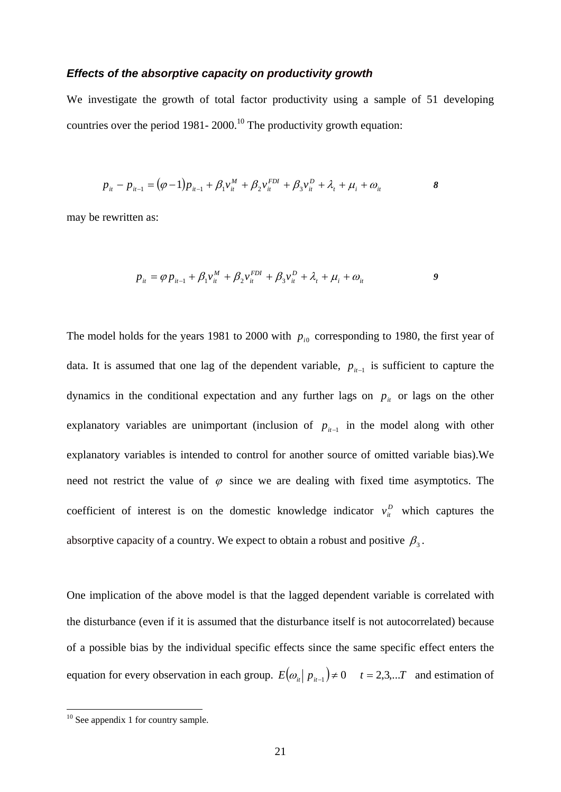#### *Effects of the absorptive capacity on productivity growth*

We investigate the growth of total factor productivity using a sample of 51 developing countries over the period 1981-  $2000$ .<sup>10</sup> The productivity growth equation:

$$
p_{it} - p_{it-1} = (\varphi - 1)p_{it-1} + \beta_1 v_{it}^M + \beta_2 v_{it}^{FDI} + \beta_3 v_{it}^D + \lambda_t + \mu_i + \omega_{it}
$$

may be rewritten as:

$$
p_{it} = \varphi p_{it-1} + \beta_1 v_{it}^M + \beta_2 v_{it}^{FDI} + \beta_3 v_{it}^D + \lambda_t + \mu_i + \omega_{it}
$$

The model holds for the years 1981 to 2000 with  $p_{i0}$  corresponding to 1980, the first year of data. It is assumed that one lag of the dependent variable,  $p_{i-1}$  is sufficient to capture the dynamics in the conditional expectation and any further lags on  $p_{it}$  or lags on the other explanatory variables are unimportant (inclusion of  $p_{i-1}$  in the model along with other explanatory variables is intended to control for another source of omitted variable bias).We need not restrict the value of  $\varphi$  since we are dealing with fixed time asymptotics. The coefficient of interest is on the domestic knowledge indicator  $v_i^D$  which captures the absorptive capacity of a country. We expect to obtain a robust and positive  $\beta_3$ .

One implication of the above model is that the lagged dependent variable is correlated with the disturbance (even if it is assumed that the disturbance itself is not autocorrelated) because of a possible bias by the individual specific effects since the same specific effect enters the equation for every observation in each group.  $E(\omega_i | p_{i-1}) \neq 0$   $t = 2,3,...T$  and estimation of

1

 $10$  See appendix 1 for country sample.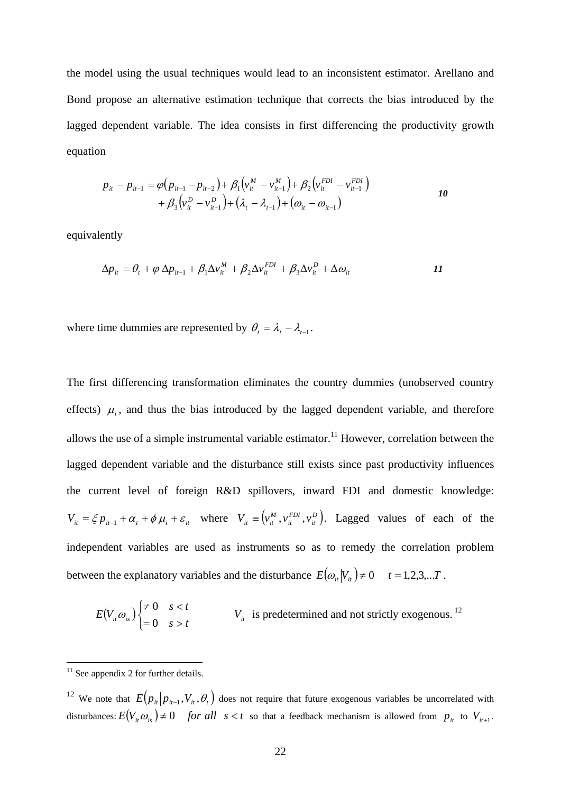the model using the usual techniques would lead to an inconsistent estimator. Arellano and Bond propose an alternative estimation technique that corrects the bias introduced by the lagged dependent variable. The idea consists in first differencing the productivity growth equation

$$
p_{it} - p_{it-1} = \varphi(p_{it-1} - p_{it-2}) + \beta_1 \left(v_{it}^M - v_{it-1}^M\right) + \beta_2 \left(v_{it}^{FDI} - v_{it-1}^{FDI}\right) + \beta_3 \left(v_{it}^D - v_{it-1}^D\right) + \left(\lambda_t - \lambda_{t-1}\right) + \left(\omega_{it} - \omega_{it-1}\right)
$$

equivalently

$$
\Delta p_{it} = \theta_t + \varphi \, \Delta p_{it-1} + \beta_1 \Delta v_{it}^M + \beta_2 \Delta v_{it}^{FDI} + \beta_3 \Delta v_{it}^D + \Delta \omega_{it}
$$

where time dummies are represented by  $\theta_t = \lambda_t - \lambda_{t-1}$ .

The first differencing transformation eliminates the country dummies (unobserved country effects)  $\mu_i$ , and thus the bias introduced by the lagged dependent variable, and therefore allows the use of a simple instrumental variable estimator.<sup>11</sup> However, correlation between the lagged dependent variable and the disturbance still exists since past productivity influences the current level of foreign R&D spillovers, inward FDI and domestic knowledge:  $V_{it} = \xi p_{it-1} + \alpha_t + \phi \mu_i + \varepsilon_{it}$  where  $V_{it} \equiv (v_{it}^M, v_{it}^{FD}, v_{it}^D)$ *FDI it*  $V_{it} \equiv (v_{it}^M, v_{it}^{FDI}, v_{it}^D)$ . Lagged values of each of the independent variables are used as instruments so as to remedy the correlation problem between the explanatory variables and the disturbance  $E(\omega_i|V_i) \neq 0$   $t = 1,2,3,...T$ .

$$
E(V_{it}\omega_{is})\begin{cases} \neq 0 & s < t \\ = 0 & s > t \end{cases}
$$
 V<sub>it</sub> is predetermined and not strictly exogenous.<sup>12</sup>

1

 $11$  See appendix 2 for further details.

<sup>&</sup>lt;sup>12</sup> We note that  $E(p_{it} | p_{it-1}, V_i, \theta_t)$  does not require that future exogenous variables be uncorrelated with disturbances:  $E(V_i, \omega_i) \neq 0$  *for all*  $s < t$  so that a feedback mechanism is allowed from  $p_i$  to  $V_{i+1}$ .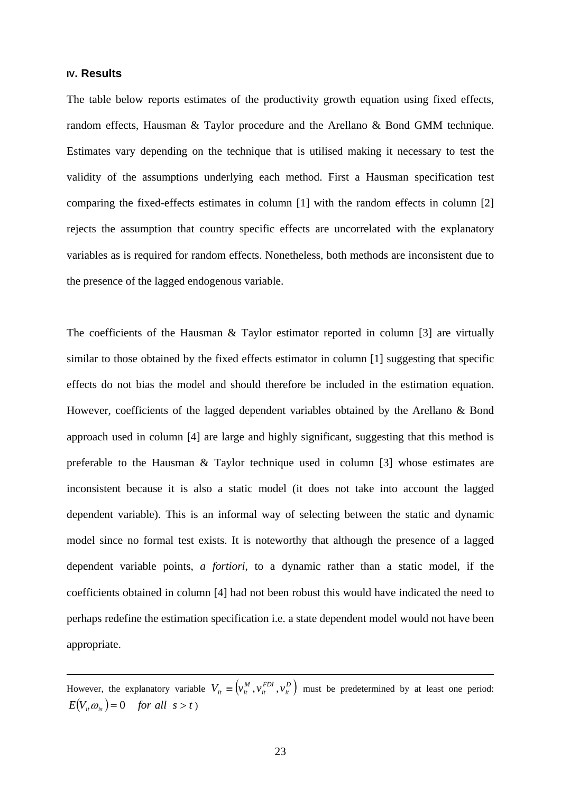#### **IV. Results**

1

The table below reports estimates of the productivity growth equation using fixed effects, random effects, Hausman & Taylor procedure and the Arellano & Bond GMM technique. Estimates vary depending on the technique that is utilised making it necessary to test the validity of the assumptions underlying each method. First a Hausman specification test comparing the fixed-effects estimates in column [1] with the random effects in column [2] rejects the assumption that country specific effects are uncorrelated with the explanatory variables as is required for random effects. Nonetheless, both methods are inconsistent due to the presence of the lagged endogenous variable.

The coefficients of the Hausman & Taylor estimator reported in column [3] are virtually similar to those obtained by the fixed effects estimator in column [1] suggesting that specific effects do not bias the model and should therefore be included in the estimation equation. However, coefficients of the lagged dependent variables obtained by the Arellano & Bond approach used in column [4] are large and highly significant, suggesting that this method is preferable to the Hausman & Taylor technique used in column [3] whose estimates are inconsistent because it is also a static model (it does not take into account the lagged dependent variable). This is an informal way of selecting between the static and dynamic model since no formal test exists. It is noteworthy that although the presence of a lagged dependent variable points, *a fortiori*, to a dynamic rather than a static model, if the coefficients obtained in column [4] had not been robust this would have indicated the need to perhaps redefine the estimation specification i.e. a state dependent model would not have been appropriate.

However, the explanatory variable  $V_{it} \equiv (v_{it}^M, v_{it}^{FDI}, v_{it}^D)$ *FDI it*  $V_{ii} \equiv (v_{ii}^M, v_{ii}^{FDI}, v_{ii}^D)$  must be predetermined by at least one period:  $E(V_i, \omega_i) = 0$  *for all*  $s > t$ )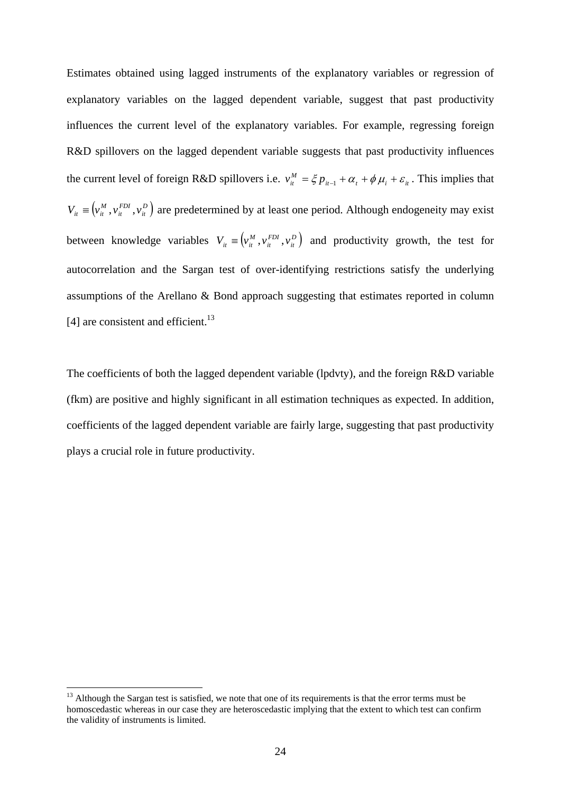Estimates obtained using lagged instruments of the explanatory variables or regression of explanatory variables on the lagged dependent variable, suggest that past productivity influences the current level of the explanatory variables. For example, regressing foreign R&D spillovers on the lagged dependent variable suggests that past productivity influences the current level of foreign R&D spillovers i.e.  $v_{it}^M = \xi p_{it-1} + \alpha_t + \phi \mu_i + \varepsilon_{it}$ . This implies that  $\left( \begin{smallmatrix} v^M_{it} \,, v^{\textit{FDI}}_{it} \,, v^D_{it} \end{smallmatrix} \right)$ *FDI it*  $V_{ii} \equiv (v_{ii}^M, v_{ii}^{FDI}, v_{ii}^D)$  are predetermined by at least one period. Although endogeneity may exist between knowledge variables  $V_{it} \equiv (v_{it}^M, v_{it}^{FDI}, v_{it}^D)$ *FDI it*  $V_{ii} \equiv (v_{ii}^M, v_{ii}^{FDI}, v_{ii}^D)$  and productivity growth, the test for autocorrelation and the Sargan test of over-identifying restrictions satisfy the underlying assumptions of the Arellano & Bond approach suggesting that estimates reported in column [4] are consistent and efficient. $^{13}$ 

The coefficients of both the lagged dependent variable (lpdvty), and the foreign R&D variable (fkm) are positive and highly significant in all estimation techniques as expected. In addition, coefficients of the lagged dependent variable are fairly large, suggesting that past productivity plays a crucial role in future productivity.

1

<sup>&</sup>lt;sup>13</sup> Although the Sargan test is satisfied, we note that one of its requirements is that the error terms must be homoscedastic whereas in our case they are heteroscedastic implying that the extent to which test can confirm the validity of instruments is limited.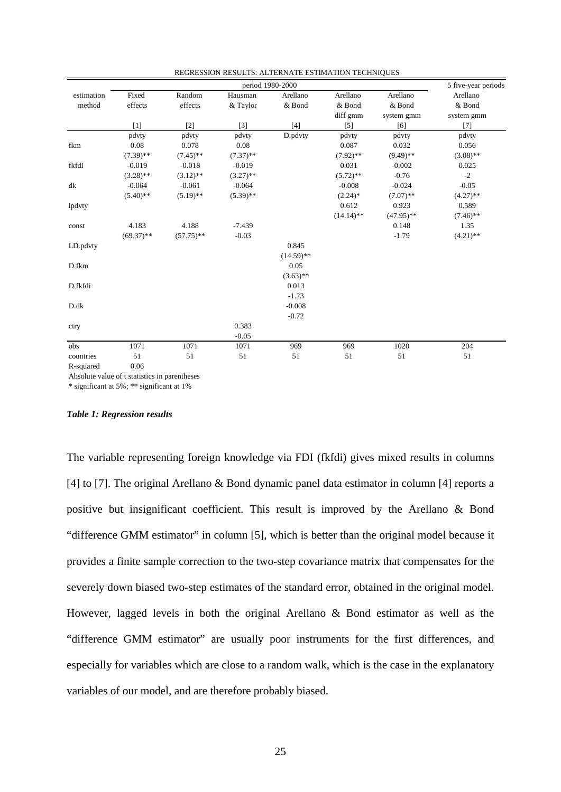|            | period 1980-2000                              |              |             |              |              | 5 five-year periods |             |  |
|------------|-----------------------------------------------|--------------|-------------|--------------|--------------|---------------------|-------------|--|
| estimation | Fixed                                         | Random       | Hausman     | Arellano     | Arellano     | Arellano            | Arellano    |  |
| method     | effects                                       | effects      | & Taylor    | & Bond       | & Bond       | & Bond              | & Bond      |  |
|            |                                               |              |             |              | diff gmm     | system gmm          | system gmm  |  |
|            | $[1]$                                         | $[2]$        | $[3]$       | $[4]$        | $[5]$        | [6]                 | $[7]$       |  |
|            | pdvty                                         | pdvty        | pdvty       | D.pdvty      | pdvty        | pdvty               | pdvty       |  |
| fkm        | 0.08                                          | 0.078        | 0.08        |              | 0.087        | 0.032               | 0.056       |  |
|            | $(7.39)$ **                                   | $(7.45)$ **  | $(7.37)$ ** |              | $(7.92)$ **  | $(9.49)$ **         | $(3.08)$ ** |  |
| fkfdi      | $-0.019$                                      | $-0.018$     | $-0.019$    |              | 0.031        | $-0.002$            | 0.025       |  |
|            | $(3.28)$ **                                   | $(3.12)$ **  | $(3.27)$ ** |              | $(5.72)$ **  | $-0.76$             | $-2$        |  |
| dk         | $-0.064$                                      | $-0.061$     | $-0.064$    |              | $-0.008$     | $-0.024$            | $-0.05$     |  |
|            | $(5.40)$ **                                   | $(5.19)$ **  | $(5.39)$ ** |              | $(2.24)$ *   | $(7.07)$ **         | $(4.27)$ ** |  |
| lpdvty     |                                               |              |             |              | 0.612        | 0.923               | 0.589       |  |
|            |                                               |              |             |              | $(14.14)$ ** | $(47.95)$ **        | $(7.46)$ ** |  |
| const      | 4.183                                         | 4.188        | $-7.439$    |              |              | 0.148               | 1.35        |  |
|            | $(69.37)$ **                                  | $(57.75)$ ** | $-0.03$     |              |              | $-1.79$             | $(4.21)$ ** |  |
| LD.pdvty   |                                               |              |             | 0.845        |              |                     |             |  |
|            |                                               |              |             | $(14.59)$ ** |              |                     |             |  |
| D.fkm      |                                               |              |             | 0.05         |              |                     |             |  |
|            |                                               |              |             | $(3.63)$ **  |              |                     |             |  |
| D.fkfdi    |                                               |              |             | 0.013        |              |                     |             |  |
|            |                                               |              |             | $-1.23$      |              |                     |             |  |
| D.dk       |                                               |              |             | $-0.008$     |              |                     |             |  |
|            |                                               |              |             | $-0.72$      |              |                     |             |  |
| ctry       |                                               |              | 0.383       |              |              |                     |             |  |
|            |                                               |              | $-0.05$     |              |              |                     |             |  |
| obs        | 1071                                          | 1071         | 1071        | 969          | 969          | 1020                | 204         |  |
| countries  | 51                                            | 51           | 51          | 51           | 51           | 51                  | 51          |  |
| R-squared  | 0.06                                          |              |             |              |              |                     |             |  |
|            | Absolute value of t statistics in parentheses |              |             |              |              |                     |             |  |

REGRESSION RESULTS: ALTERNATE ESTIMATION TECHNIQUES

Absolute value of t statistics in parentheses

\* significant at 5%; \*\* significant at 1%

#### *Table 1: Regression results*

The variable representing foreign knowledge via FDI (fkfdi) gives mixed results in columns [4] to [7]. The original Arellano & Bond dynamic panel data estimator in column [4] reports a positive but insignificant coefficient. This result is improved by the Arellano & Bond "difference GMM estimator" in column [5], which is better than the original model because it provides a finite sample correction to the two-step covariance matrix that compensates for the severely down biased two-step estimates of the standard error, obtained in the original model. However, lagged levels in both the original Arellano & Bond estimator as well as the "difference GMM estimator" are usually poor instruments for the first differences, and especially for variables which are close to a random walk, which is the case in the explanatory variables of our model, and are therefore probably biased.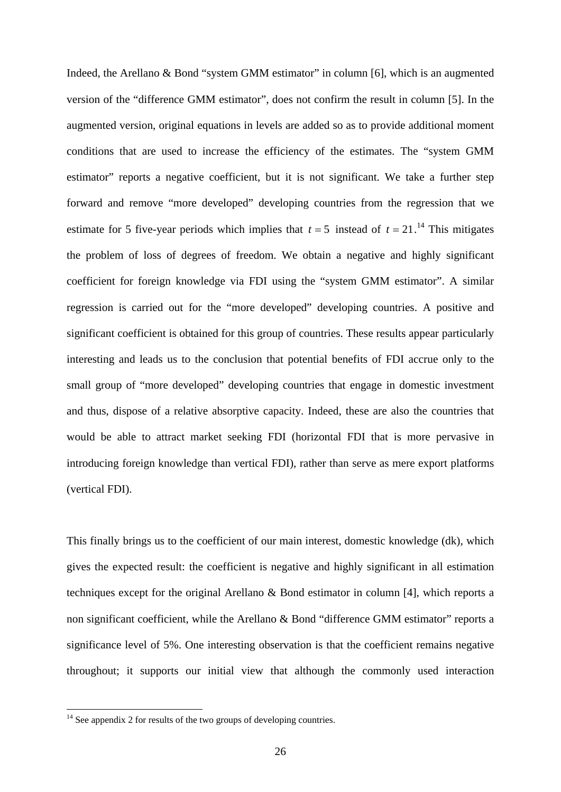Indeed, the Arellano & Bond "system GMM estimator" in column [6], which is an augmented version of the "difference GMM estimator", does not confirm the result in column [5]. In the augmented version, original equations in levels are added so as to provide additional moment conditions that are used to increase the efficiency of the estimates. The "system GMM estimator" reports a negative coefficient, but it is not significant. We take a further step forward and remove "more developed" developing countries from the regression that we estimate for 5 five-year periods which implies that  $t = 5$  instead of  $t = 21$ .<sup>14</sup> This mitigates the problem of loss of degrees of freedom. We obtain a negative and highly significant coefficient for foreign knowledge via FDI using the "system GMM estimator". A similar regression is carried out for the "more developed" developing countries. A positive and significant coefficient is obtained for this group of countries. These results appear particularly interesting and leads us to the conclusion that potential benefits of FDI accrue only to the small group of "more developed" developing countries that engage in domestic investment and thus, dispose of a relative absorptive capacity. Indeed, these are also the countries that would be able to attract market seeking FDI (horizontal FDI that is more pervasive in introducing foreign knowledge than vertical FDI), rather than serve as mere export platforms (vertical FDI).

This finally brings us to the coefficient of our main interest, domestic knowledge (dk), which gives the expected result: the coefficient is negative and highly significant in all estimation techniques except for the original Arellano & Bond estimator in column [4], which reports a non significant coefficient, while the Arellano & Bond "difference GMM estimator" reports a significance level of 5%. One interesting observation is that the coefficient remains negative throughout; it supports our initial view that although the commonly used interaction

1

 $14$  See appendix 2 for results of the two groups of developing countries.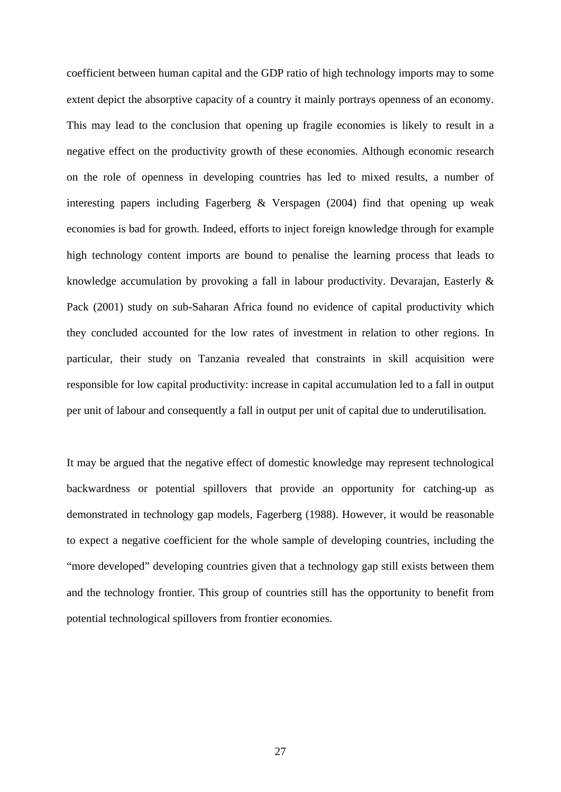coefficient between human capital and the GDP ratio of high technology imports may to some extent depict the absorptive capacity of a country it mainly portrays openness of an economy. This may lead to the conclusion that opening up fragile economies is likely to result in a negative effect on the productivity growth of these economies. Although economic research on the role of openness in developing countries has led to mixed results, a number of interesting papers including Fagerberg & Verspagen (2004) find that opening up weak economies is bad for growth. Indeed, efforts to inject foreign knowledge through for example high technology content imports are bound to penalise the learning process that leads to knowledge accumulation by provoking a fall in labour productivity. Devarajan, Easterly & Pack (2001) study on sub-Saharan Africa found no evidence of capital productivity which they concluded accounted for the low rates of investment in relation to other regions. In particular, their study on Tanzania revealed that constraints in skill acquisition were responsible for low capital productivity: increase in capital accumulation led to a fall in output per unit of labour and consequently a fall in output per unit of capital due to underutilisation.

It may be argued that the negative effect of domestic knowledge may represent technological backwardness or potential spillovers that provide an opportunity for catching-up as demonstrated in technology gap models, Fagerberg (1988). However, it would be reasonable to expect a negative coefficient for the whole sample of developing countries, including the "more developed" developing countries given that a technology gap still exists between them and the technology frontier. This group of countries still has the opportunity to benefit from potential technological spillovers from frontier economies.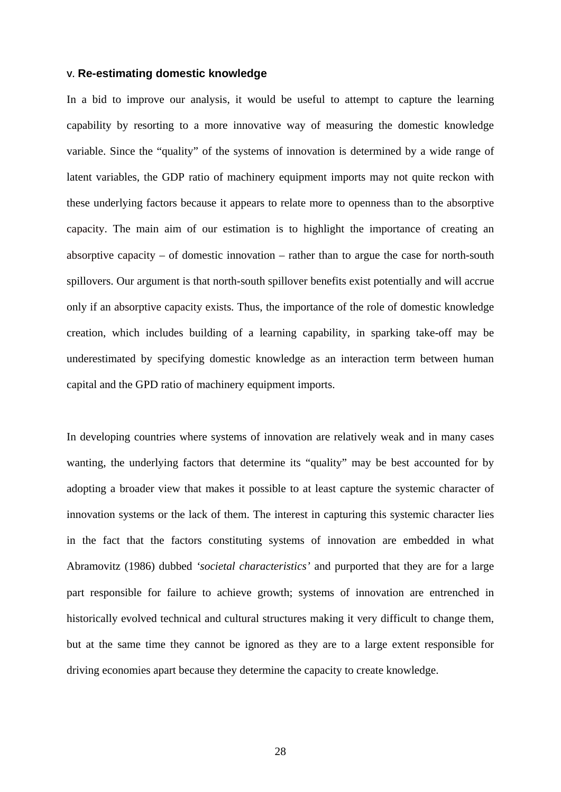#### **V. Re-estimating domestic knowledge**

In a bid to improve our analysis, it would be useful to attempt to capture the learning capability by resorting to a more innovative way of measuring the domestic knowledge variable. Since the "quality" of the systems of innovation is determined by a wide range of latent variables, the GDP ratio of machinery equipment imports may not quite reckon with these underlying factors because it appears to relate more to openness than to the absorptive capacity. The main aim of our estimation is to highlight the importance of creating an absorptive capacity – of domestic innovation – rather than to argue the case for north-south spillovers. Our argument is that north-south spillover benefits exist potentially and will accrue only if an absorptive capacity exists. Thus, the importance of the role of domestic knowledge creation, which includes building of a learning capability, in sparking take-off may be underestimated by specifying domestic knowledge as an interaction term between human capital and the GPD ratio of machinery equipment imports.

In developing countries where systems of innovation are relatively weak and in many cases wanting, the underlying factors that determine its "quality" may be best accounted for by adopting a broader view that makes it possible to at least capture the systemic character of innovation systems or the lack of them. The interest in capturing this systemic character lies in the fact that the factors constituting systems of innovation are embedded in what Abramovitz (1986) dubbed *'societal characteristics'* and purported that they are for a large part responsible for failure to achieve growth; systems of innovation are entrenched in historically evolved technical and cultural structures making it very difficult to change them, but at the same time they cannot be ignored as they are to a large extent responsible for driving economies apart because they determine the capacity to create knowledge.

28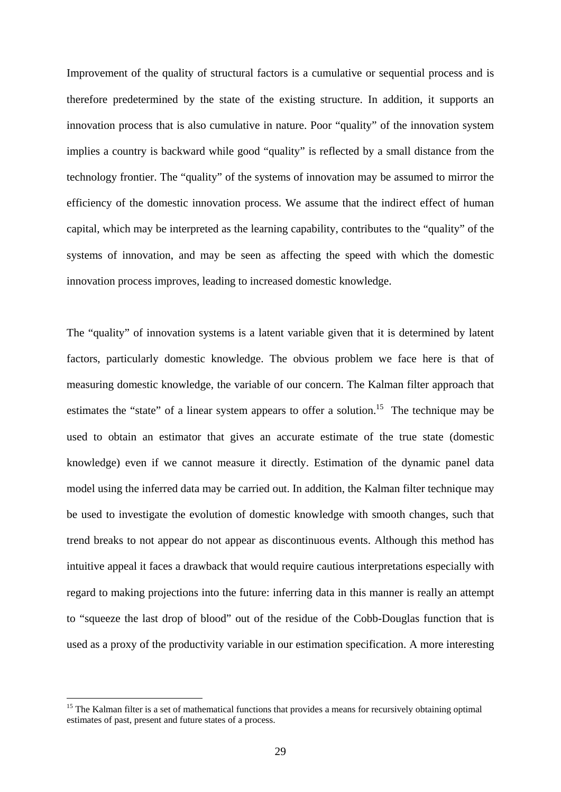Improvement of the quality of structural factors is a cumulative or sequential process and is therefore predetermined by the state of the existing structure. In addition, it supports an innovation process that is also cumulative in nature. Poor "quality" of the innovation system implies a country is backward while good "quality" is reflected by a small distance from the technology frontier. The "quality" of the systems of innovation may be assumed to mirror the efficiency of the domestic innovation process. We assume that the indirect effect of human capital, which may be interpreted as the learning capability, contributes to the "quality" of the systems of innovation, and may be seen as affecting the speed with which the domestic innovation process improves, leading to increased domestic knowledge.

The "quality" of innovation systems is a latent variable given that it is determined by latent factors, particularly domestic knowledge. The obvious problem we face here is that of measuring domestic knowledge, the variable of our concern. The Kalman filter approach that estimates the "state" of a linear system appears to offer a solution.<sup>15</sup> The technique may be used to obtain an estimator that gives an accurate estimate of the true state (domestic knowledge) even if we cannot measure it directly. Estimation of the dynamic panel data model using the inferred data may be carried out. In addition, the Kalman filter technique may be used to investigate the evolution of domestic knowledge with smooth changes, such that trend breaks to not appear do not appear as discontinuous events. Although this method has intuitive appeal it faces a drawback that would require cautious interpretations especially with regard to making projections into the future: inferring data in this manner is really an attempt to "squeeze the last drop of blood" out of the residue of the Cobb-Douglas function that is used as a proxy of the productivity variable in our estimation specification. A more interesting

1

<sup>&</sup>lt;sup>15</sup> The Kalman filter is a set of mathematical functions that provides a means for recursively obtaining optimal estimates of past, present and future states of a process.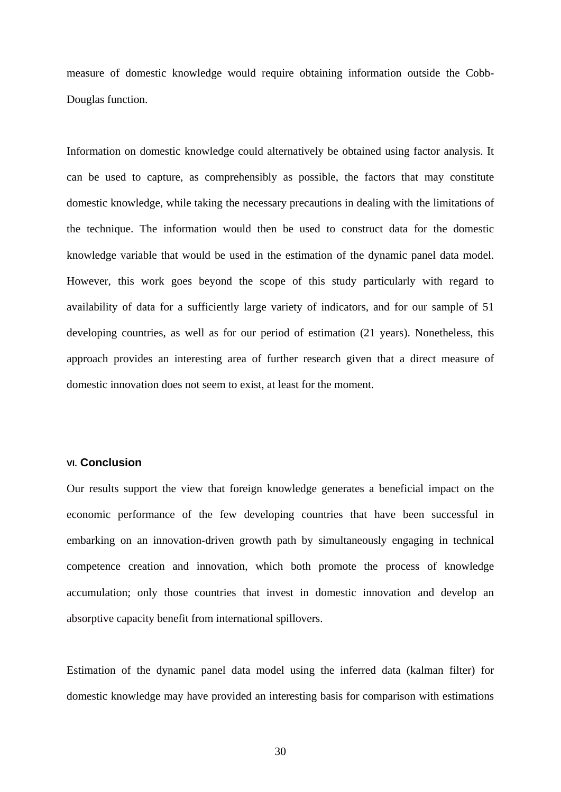measure of domestic knowledge would require obtaining information outside the Cobb-Douglas function.

Information on domestic knowledge could alternatively be obtained using factor analysis. It can be used to capture, as comprehensibly as possible, the factors that may constitute domestic knowledge, while taking the necessary precautions in dealing with the limitations of the technique. The information would then be used to construct data for the domestic knowledge variable that would be used in the estimation of the dynamic panel data model. However, this work goes beyond the scope of this study particularly with regard to availability of data for a sufficiently large variety of indicators, and for our sample of 51 developing countries, as well as for our period of estimation (21 years). Nonetheless, this approach provides an interesting area of further research given that a direct measure of domestic innovation does not seem to exist, at least for the moment.

#### **VI. Conclusion**

Our results support the view that foreign knowledge generates a beneficial impact on the economic performance of the few developing countries that have been successful in embarking on an innovation-driven growth path by simultaneously engaging in technical competence creation and innovation, which both promote the process of knowledge accumulation; only those countries that invest in domestic innovation and develop an absorptive capacity benefit from international spillovers.

Estimation of the dynamic panel data model using the inferred data (kalman filter) for domestic knowledge may have provided an interesting basis for comparison with estimations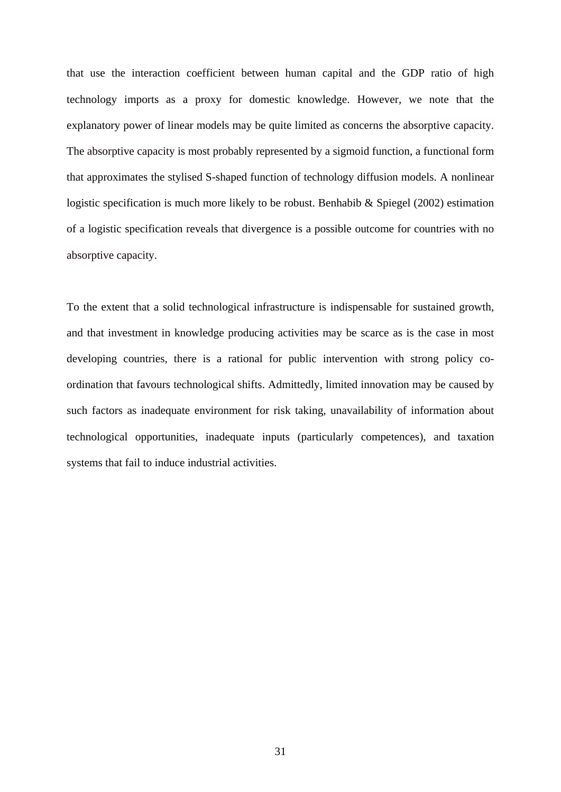that use the interaction coefficient between human capital and the GDP ratio of high technology imports as a proxy for domestic knowledge. However, we note that the explanatory power of linear models may be quite limited as concerns the absorptive capacity. The absorptive capacity is most probably represented by a sigmoid function, a functional form that approximates the stylised S-shaped function of technology diffusion models. A nonlinear logistic specification is much more likely to be robust. Benhabib & Spiegel (2002) estimation of a logistic specification reveals that divergence is a possible outcome for countries with no absorptive capacity.

To the extent that a solid technological infrastructure is indispensable for sustained growth, and that investment in knowledge producing activities may be scarce as is the case in most developing countries, there is a rational for public intervention with strong policy coordination that favours technological shifts. Admittedly, limited innovation may be caused by such factors as inadequate environment for risk taking, unavailability of information about technological opportunities, inadequate inputs (particularly competences), and taxation systems that fail to induce industrial activities.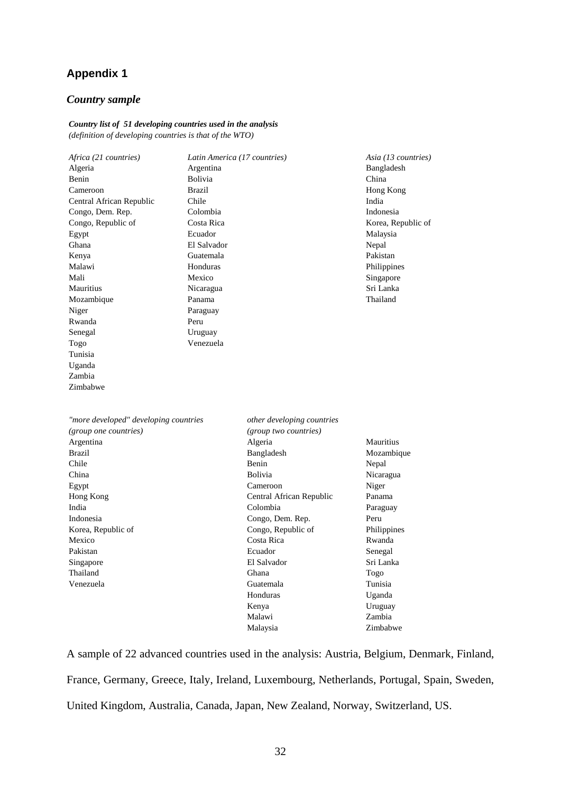## **Appendix 1**

#### *Country sample*

#### *Country list of 51 developing countries used in the analysis (definition of developing countries is that of the WTO)*

| Africa (21 countries)                 |                | Latin America (17 countries) | Asia (13 countries)                                                                          |  |  |
|---------------------------------------|----------------|------------------------------|----------------------------------------------------------------------------------------------|--|--|
| Algeria                               | Argentina      |                              | Bangladesh                                                                                   |  |  |
| Benin                                 | <b>Bolivia</b> |                              | China<br>Hong Kong                                                                           |  |  |
| Cameroon                              | <b>Brazil</b>  |                              |                                                                                              |  |  |
| Central African Republic              | Chile          |                              | India                                                                                        |  |  |
| Congo, Dem. Rep.                      | Colombia       |                              | Indonesia<br>Korea, Republic of<br>Malaysia<br>Nepal<br>Pakistan<br>Philippines<br>Singapore |  |  |
| Congo, Republic of                    | Costa Rica     |                              |                                                                                              |  |  |
| Egypt                                 | Ecuador        |                              |                                                                                              |  |  |
| Ghana                                 | El Salvador    |                              |                                                                                              |  |  |
| Kenya                                 | Guatemala      |                              |                                                                                              |  |  |
| Malawi                                | Honduras       |                              |                                                                                              |  |  |
| Mali                                  | Mexico         |                              |                                                                                              |  |  |
| Mauritius                             | Nicaragua      |                              | Sri Lanka                                                                                    |  |  |
| Mozambique                            | Panama         |                              | Thailand                                                                                     |  |  |
| Niger                                 | Paraguay       |                              |                                                                                              |  |  |
| Rwanda                                | Peru           |                              |                                                                                              |  |  |
| Senegal                               | Uruguay        |                              |                                                                                              |  |  |
| Togo                                  | Venezuela      |                              |                                                                                              |  |  |
| Tunisia                               |                |                              |                                                                                              |  |  |
| Uganda                                |                |                              |                                                                                              |  |  |
| Zambia                                |                |                              |                                                                                              |  |  |
| Zimbabwe                              |                |                              |                                                                                              |  |  |
| "more developed" developing countries |                | other developing countries   |                                                                                              |  |  |
| (group one countries)                 |                | (group two countries)        |                                                                                              |  |  |
| Argentina                             |                | Algeria                      | Mauritius                                                                                    |  |  |
| <b>Brazil</b>                         |                | Bangladesh                   | Mozambique                                                                                   |  |  |
| Chile                                 |                | Benin                        | Nepal                                                                                        |  |  |
| China                                 |                | <b>Bolivia</b>               | Nicaragua                                                                                    |  |  |
| Egypt                                 |                | Cameroon                     | Niger                                                                                        |  |  |
| Hong Kong                             |                | Central African Republic     | Panama                                                                                       |  |  |
| India                                 |                | Colombia                     | Paraguay                                                                                     |  |  |
| Indonesia                             |                | Congo, Dem. Rep.             | Peru                                                                                         |  |  |
| Korea, Republic of                    |                | Congo, Republic of           | Philippines                                                                                  |  |  |
| Mexico                                |                | Costa Rica                   | Rwanda                                                                                       |  |  |
| Pakistan                              |                | Ecuador                      | Senegal                                                                                      |  |  |
| Singapore                             |                | El Salvador                  | Sri Lanka                                                                                    |  |  |
| Thailand                              |                | Ghana                        | Togo                                                                                         |  |  |
| Venezuela                             |                | Guatemala                    | Tunisia                                                                                      |  |  |
|                                       |                | Honduras                     | Uganda                                                                                       |  |  |
|                                       |                | Kenya                        | Uruguay                                                                                      |  |  |
|                                       |                | Malawi                       | Zambia                                                                                       |  |  |
|                                       |                | Malaysia                     | Zimbabwe                                                                                     |  |  |

A sample of 22 advanced countries used in the analysis: Austria, Belgium, Denmark, Finland, France, Germany, Greece, Italy, Ireland, Luxembourg, Netherlands, Portugal, Spain, Sweden, United Kingdom, Australia, Canada, Japan, New Zealand, Norway, Switzerland, US.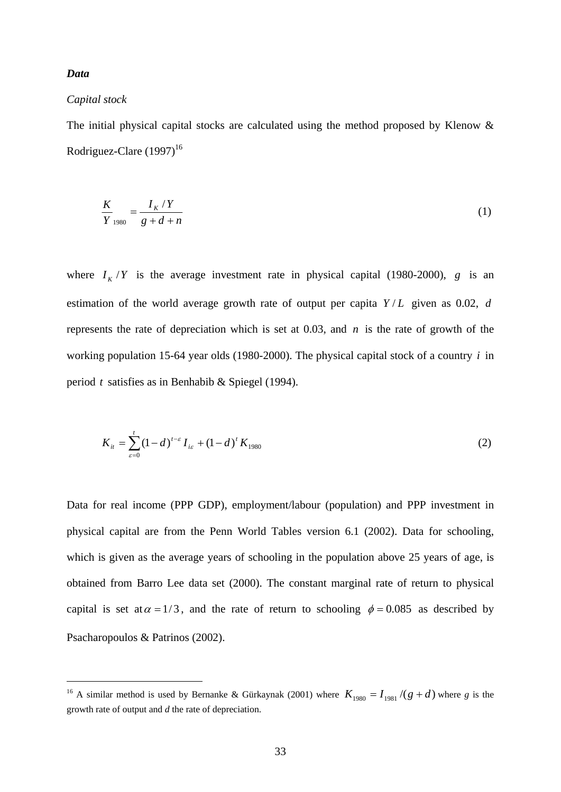#### *Data*

1

#### *Capital stock*

The initial physical capital stocks are calculated using the method proposed by Klenow & Rodriguez-Clare  $(1997)^{16}$ 

$$
\frac{K}{Y_{1980}} = \frac{I_K/Y}{g + d + n}
$$
 (1)

where  $I_K/Y$  is the average investment rate in physical capital (1980-2000), *g* is an estimation of the world average growth rate of output per capita  $Y/L$  given as 0.02, *d* represents the rate of depreciation which is set at 0.03, and *n* is the rate of growth of the working population 15-64 year olds (1980-2000). The physical capital stock of a country *i* in period *t* satisfies as in Benhabib & Spiegel (1994).

$$
K_{it} = \sum_{\varepsilon=0}^{t} (1-d)^{t-\varepsilon} I_{i\varepsilon} + (1-d)^{t} K_{1980}
$$
 (2)

Data for real income (PPP GDP), employment/labour (population) and PPP investment in physical capital are from the Penn World Tables version 6.1 (2002). Data for schooling, which is given as the average years of schooling in the population above 25 years of age, is obtained from Barro Lee data set (2000). The constant marginal rate of return to physical capital is set at  $\alpha = 1/3$ , and the rate of return to schooling  $\phi = 0.085$  as described by Psacharopoulos & Patrinos (2002).

<sup>&</sup>lt;sup>16</sup> A similar method is used by Bernanke & Gürkaynak (2001) where  $K_{1980} = I_{1981} / (g + d)$  where *g* is the growth rate of output and *d* the rate of depreciation.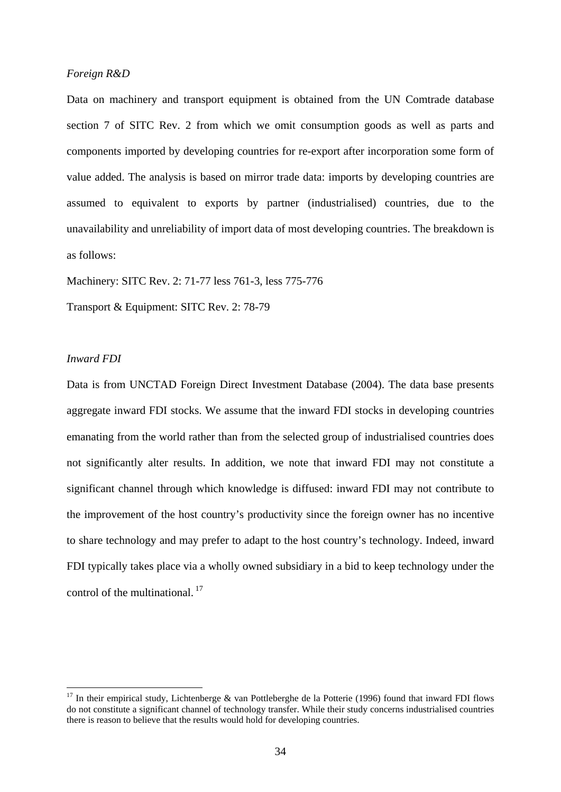#### *Foreign R&D*

Data on machinery and transport equipment is obtained from the UN Comtrade database section 7 of SITC Rev. 2 from which we omit consumption goods as well as parts and components imported by developing countries for re-export after incorporation some form of value added. The analysis is based on mirror trade data: imports by developing countries are assumed to equivalent to exports by partner (industrialised) countries, due to the unavailability and unreliability of import data of most developing countries. The breakdown is as follows:

Machinery: SITC Rev. 2: 71-77 less 761-3, less 775-776

Transport & Equipment: SITC Rev. 2: 78-79

#### *Inward FDI*

1

Data is from UNCTAD Foreign Direct Investment Database (2004). The data base presents aggregate inward FDI stocks. We assume that the inward FDI stocks in developing countries emanating from the world rather than from the selected group of industrialised countries does not significantly alter results. In addition, we note that inward FDI may not constitute a significant channel through which knowledge is diffused: inward FDI may not contribute to the improvement of the host country's productivity since the foreign owner has no incentive to share technology and may prefer to adapt to the host country's technology. Indeed, inward FDI typically takes place via a wholly owned subsidiary in a bid to keep technology under the control of the multinational.<sup>17</sup>

<sup>&</sup>lt;sup>17</sup> In their empirical study, Lichtenberge & van Pottleberghe de la Potterie (1996) found that inward FDI flows do not constitute a significant channel of technology transfer. While their study concerns industrialised countries there is reason to believe that the results would hold for developing countries.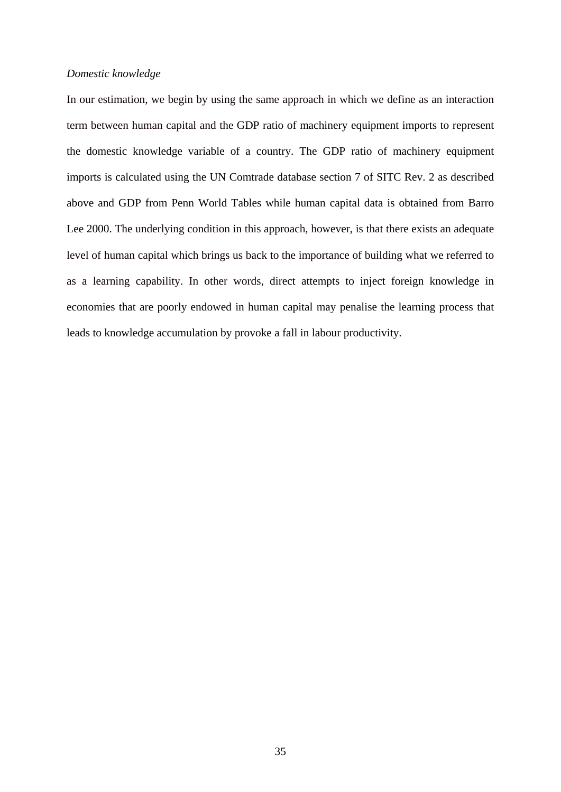#### *Domestic knowledge*

In our estimation, we begin by using the same approach in which we define as an interaction term between human capital and the GDP ratio of machinery equipment imports to represent the domestic knowledge variable of a country. The GDP ratio of machinery equipment imports is calculated using the UN Comtrade database section 7 of SITC Rev. 2 as described above and GDP from Penn World Tables while human capital data is obtained from Barro Lee 2000. The underlying condition in this approach, however, is that there exists an adequate level of human capital which brings us back to the importance of building what we referred to as a learning capability. In other words, direct attempts to inject foreign knowledge in economies that are poorly endowed in human capital may penalise the learning process that leads to knowledge accumulation by provoke a fall in labour productivity.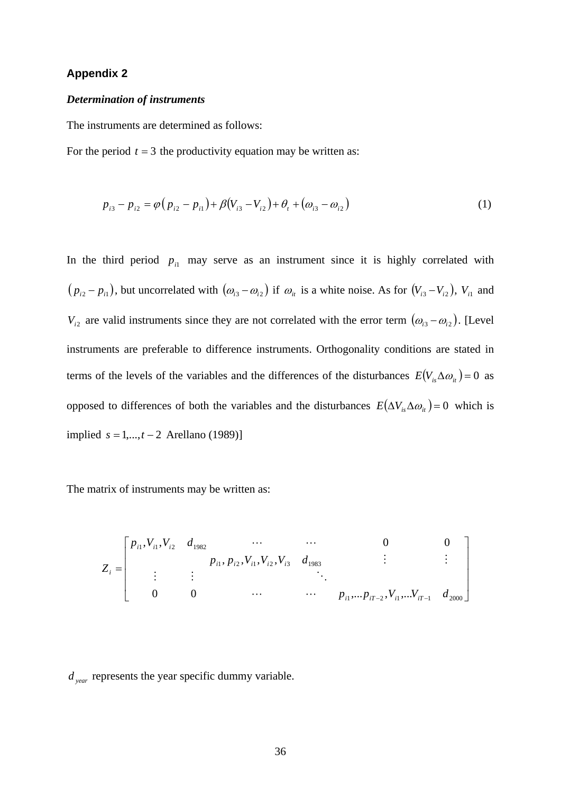#### **Appendix 2**

#### *Determination of instruments*

The instruments are determined as follows:

For the period  $t = 3$  the productivity equation may be written as:

$$
p_{i3} - p_{i2} = \varphi (p_{i2} - p_{i1}) + \beta (V_{i3} - V_{i2}) + \theta_t + (\omega_{i3} - \omega_{i2})
$$
\n(1)

In the third period  $p_{i1}$  may serve as an instrument since it is highly correlated with  $(p_{i2} - p_{i1})$ , but uncorrelated with  $(\omega_{i3} - \omega_{i2})$  if  $\omega_{i}$  is a white noise. As for  $(V_{i3} - V_{i2})$ ,  $V_{i1}$  and *V<sub>i2</sub>* are valid instruments since they are not correlated with the error term  $(\omega_{i3} - \omega_{i2})$ . [Level instruments are preferable to difference instruments. Orthogonality conditions are stated in terms of the levels of the variables and the differences of the disturbances  $E(V_{i} \Delta \omega_{i} ) = 0$  as opposed to differences of both the variables and the disturbances  $E(\Delta V_{is}\Delta\omega_{it}) = 0$  which is implied  $s = 1, ..., t − 2$  Arellano (1989)]

The matrix of instruments may be written as:

$$
Z_{i} = \begin{bmatrix} p_{i1}, V_{i1}, V_{i2} & d_{1982} & \cdots & \cdots & 0 & 0 \\ & & p_{i1}, p_{i2}, V_{i1}, V_{i2}, V_{i3} & d_{1983} & \vdots & \vdots \\ \vdots & \vdots & & \ddots & \vdots \\ 0 & 0 & \cdots & \cdots & p_{i1}, \cdots p_{iT-2}, V_{i1}, \cdots V_{iT-1} & d_{2000} \end{bmatrix}
$$

*d year* represents the year specific dummy variable.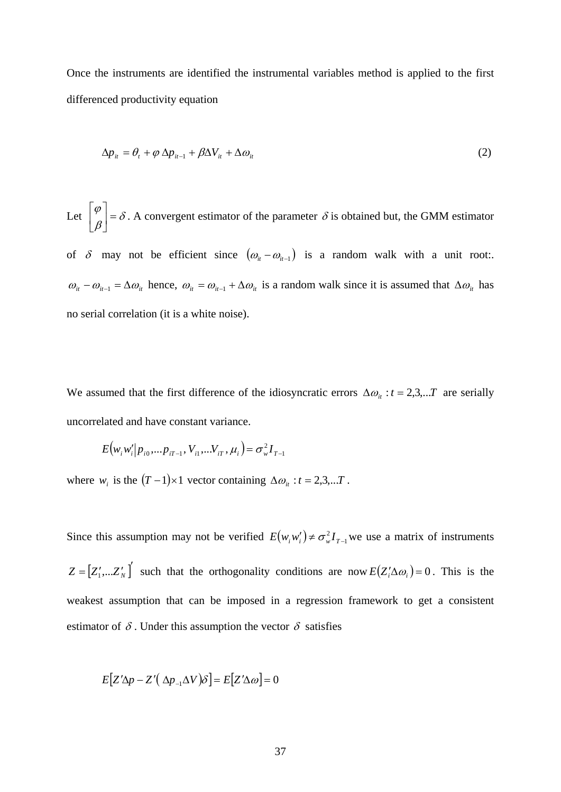Once the instruments are identified the instrumental variables method is applied to the first differenced productivity equation

$$
\Delta p_{it} = \theta_t + \varphi \, \Delta p_{it-1} + \beta \Delta V_{it} + \Delta \omega_{it} \tag{2}
$$

Let  $\begin{bmatrix} 1 \\ 2 \end{bmatrix} = \delta$  $\begin{bmatrix} \varphi \\ \beta \end{bmatrix} =$ ⎦  $\left|\rho\atop_{\beta}\right|$ ⎣  $\begin{bmatrix} \varphi \\ \varphi \end{bmatrix} = \delta$ . A convergent estimator of the parameter  $\delta$  is obtained but, the GMM estimator

of  $\delta$  may not be efficient since  $(\omega_{it} - \omega_{it-1})$  is a random walk with a unit root:.  $\omega_{it} - \omega_{it-1} = \Delta \omega_{it}$  hence,  $\omega_{it} = \omega_{it-1} + \Delta \omega_{it}$  is a random walk since it is assumed that  $\Delta \omega_{it}$  has no serial correlation (it is a white noise).

We assumed that the first difference of the idiosyncratic errors  $\Delta \omega_i : t = 2,3,...T$  are serially uncorrelated and have constant variance.

$$
E(w_i w'_i | p_{i0}, \dots p_{iT-1}, V_{i1}, \dots V_{iT}, \mu_i) = \sigma_w^2 I_{T-1}
$$

where  $w_i$  is the  $(T - 1) \times 1$  vector containing  $\Delta \omega_i : t = 2, 3, ...T$ .

Since this assumption may not be verified  $E(w_i w_i') \neq \sigma_w^2 I_{T-1}$  we use a matrix of instruments  $Z = [Z'_1,...Z'_N]$  such that the orthogonality conditions are now  $E(Z'_i \Delta \omega_i) = 0$ . This is the weakest assumption that can be imposed in a regression framework to get a consistent estimator of  $\delta$ . Under this assumption the vector  $\delta$  satisfies

$$
E[Z'\Delta p - Z'(\Delta p_{-1}\Delta V)\delta] = E[Z'\Delta \omega] = 0
$$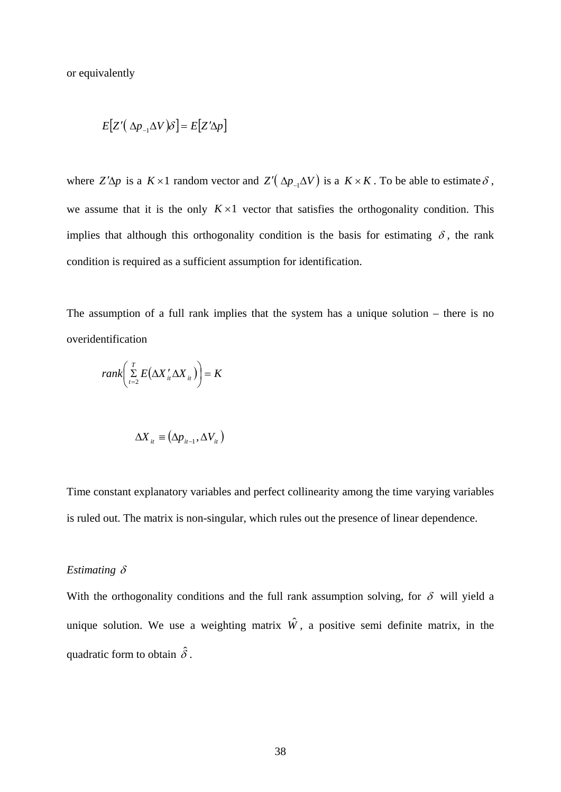or equivalently

$$
E[Z'(\Delta p_{-1} \Delta V)\delta] = E[Z' \Delta p]
$$

where  $Z'\Delta p$  is a  $K \times 1$  random vector and  $Z'(\Delta p_{-1} \Delta V)$  is a  $K \times K$ . To be able to estimate  $\delta$ , we assume that it is the only  $K \times 1$  vector that satisfies the orthogonality condition. This implies that although this orthogonality condition is the basis for estimating  $\delta$ , the rank condition is required as a sufficient assumption for identification.

The assumption of a full rank implies that the system has a unique solution – there is no overidentification

$$
rank\left(\sum_{i=2}^{T} E\left(\Delta X_{ii}^{\prime} \Delta X_{ii}\right)\right) = K
$$

$$
\Delta X_{it} = (\Delta p_{it-1}, \Delta V_{it})
$$

Time constant explanatory variables and perfect collinearity among the time varying variables is ruled out. The matrix is non-singular, which rules out the presence of linear dependence.

#### *Estimating* δ

With the orthogonality conditions and the full rank assumption solving, for  $\delta$  will yield a unique solution. We use a weighting matrix  $\hat{W}$ , a positive semi definite matrix, in the quadratic form to obtain  $\hat{\delta}$ .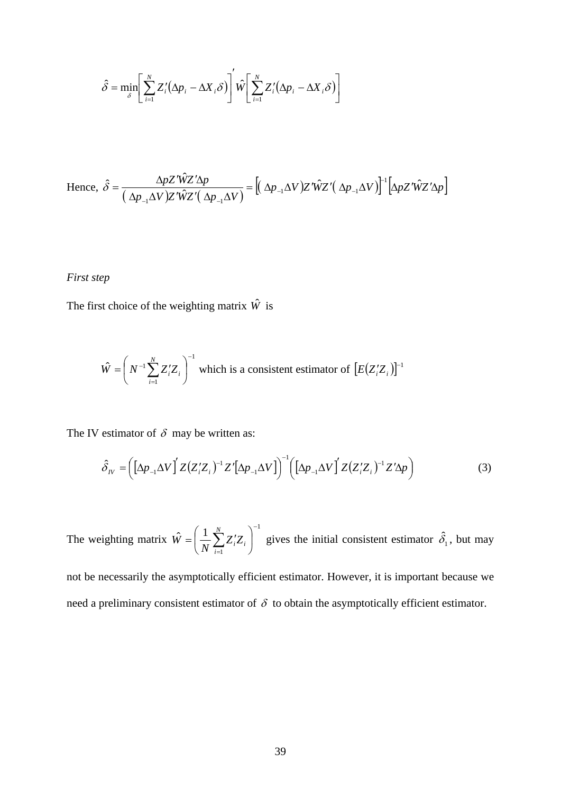$$
\hat{\delta} = \min_{\delta} \left[ \sum_{i=1}^{N} Z_i' (\Delta p_i - \Delta X_i \delta) \right]' \hat{W} \left[ \sum_{i=1}^{N} Z_i' (\Delta p_i - \Delta X_i \delta) \right]
$$

Hence, 
$$
\hat{\delta} = \frac{\Delta p Z' \hat{W} Z' \Delta p}{\left(\Delta p_{-1} \Delta V\right) Z' \hat{W} Z' \left(\Delta p_{-1} \Delta V\right)} = \left[ \left(\Delta p_{-1} \Delta V\right) Z' \hat{W} Z' \left(\Delta p_{-1} \Delta V\right) \right]^{-1} \left[ \Delta p Z' \hat{W} Z' \Delta p \right]
$$

#### *First step*

The first choice of the weighting matrix  $\hat{W}$  is

$$
\hat{W} = \left( N^{-1} \sum_{i=1}^{N} Z_i' Z_i \right)^{-1}
$$
 which is a consistent estimator of  $[E(Z_i' Z_i)]^{-1}$ 

The IV estimator of  $\delta$  may be written as:

$$
\hat{\delta}_N = \left( \left[ \Delta p_{-1} \Delta V \right]^{'} Z \left( Z_i^{\prime} Z_i \right)^{-1} Z' \left[ \Delta p_{-1} \Delta V \right] \right)^{-1} \left( \left[ \Delta p_{-1} \Delta V \right]^{'} Z \left( Z_i^{\prime} Z_i \right)^{-1} Z' \Delta p \right) \tag{3}
$$

The weighting matrix 1 1  $\hat{V} = \left(\frac{1}{N} \sum_{i=1}^{N} Z_i Z_i\right)^{-1}$ =  $\overline{\phantom{a}}$ ⎠  $\left(\frac{1}{n}\sum_{i=1}^{N}Z_{i}Z_{i}\right)$  $=\left(\frac{1}{N}\sum_{i=1}^{N}Z_{i}^{T}Z_{i}\right)$ *i*  $\hat{W} = \left(\frac{1}{N} \sum_{i=1}^{N} Z_i' Z_i\right)$  gives the initial consistent estimator  $\hat{\delta}_1$ , but may not be necessarily the asymptotically efficient estimator. However, it is important because we need a preliminary consistent estimator of  $\delta$  to obtain the asymptotically efficient estimator.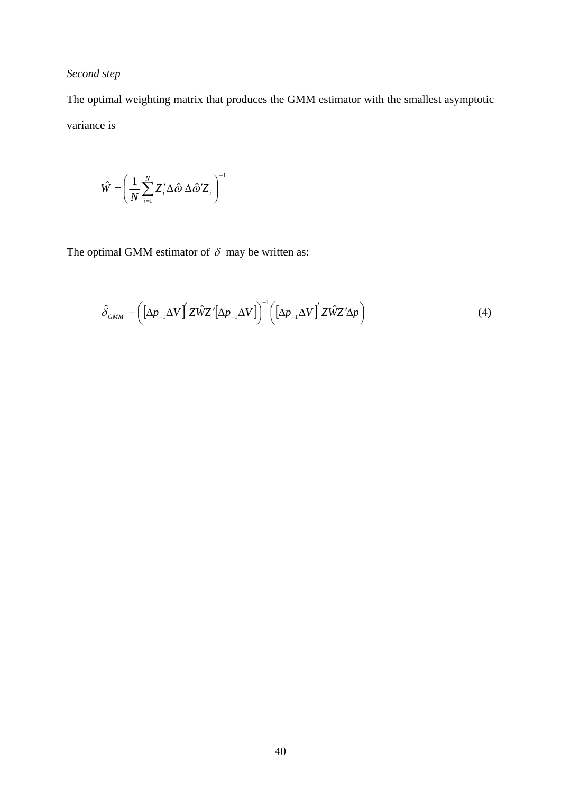### *Second step*

The optimal weighting matrix that produces the GMM estimator with the smallest asymptotic variance is

$$
\hat{W} = \left(\frac{1}{N} \sum_{i=1}^{N} Z_i' \Delta \hat{\omega} \Delta \hat{\omega}' Z_i\right)^{-1}
$$

The optimal GMM estimator of  $\delta$  may be written as:

$$
\hat{\delta}_{GMM} = \left( \left[ \Delta p_{-1} \Delta V \right]' Z \hat{W} Z' \left[ \Delta p_{-1} \Delta V \right] \right)^{-1} \left( \left[ \Delta p_{-1} \Delta V \right]' Z \hat{W} Z' \Delta p \right) \tag{4}
$$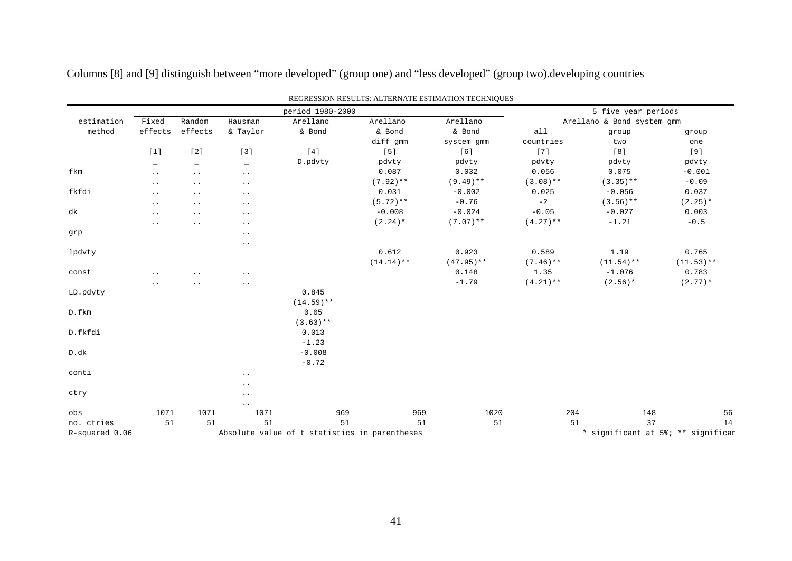| REGRESSION RESULTS: ALTERNATE ESTIMATION TECHNIQUES |                          |                                               |                          |              |             |              |                            |                                    |              |  |  |
|-----------------------------------------------------|--------------------------|-----------------------------------------------|--------------------------|--------------|-------------|--------------|----------------------------|------------------------------------|--------------|--|--|
|                                                     |                          | period 1980-2000                              |                          |              |             |              |                            | 5 five year periods                |              |  |  |
| estimation                                          | Fixed                    | Random                                        | Hausman                  | Arellano     | Arellano    | Arellano     | Arellano & Bond system gmm |                                    |              |  |  |
| method                                              | effects                  | effects                                       | & Taylor                 | & Bond       | & Bond      | & Bond       | a11                        | group                              | group        |  |  |
|                                                     |                          |                                               |                          |              | diff gmm    | system gmm   | countries                  | two                                | one          |  |  |
|                                                     | $[1]$                    | [2]                                           | $[3]$                    | $[4]$        | $[5]$       | [6]          | $[7]$                      | [8]                                | $[9]$        |  |  |
|                                                     | $\overline{\phantom{0}}$ | $\overline{\phantom{0}}$                      | $\overline{\phantom{0}}$ | D.pdvty      | pdvty       | pdvty        | pdvty                      | pdvty                              | pdvty        |  |  |
| fkm                                                 | $\ddot{\phantom{0}}$     | $\ddot{\phantom{1}}$ .                        | $\ddot{\phantom{0}}$ .   |              | 0.087       | 0.032        | 0.056                      | 0.075                              | $-0.001$     |  |  |
|                                                     | $\ddotsc$                | $\ddotsc$                                     | $\ddot{\phantom{0}}$     |              | $(7.92)$ ** | $(9.49)$ **  | $(3.08)$ **                | $(3.35)$ **                        | $-0.09$      |  |  |
| fkfdi                                               | $\bullet$ . $\bullet$    | $\ddot{\phantom{1}}$ .                        | $\ddot{\phantom{1}}$ .   |              | 0.031       | $-0.002$     | 0.025                      | $-0.056$                           | 0.037        |  |  |
|                                                     | $\ddotsc$                | $\ddotsc$                                     | $\ddot{\phantom{0}}$     |              | $(5.72)**$  | $-0.76$      | $-2$                       | $(3.56)$ **                        | $(2.25)*$    |  |  |
| dk                                                  | $\ddot{\phantom{0}}$ .   | $\bullet$ . $\bullet$                         | $\cdot$ .                |              | $-0.008$    | $-0.024$     | $-0.05$                    | $-0.027$                           | 0.003        |  |  |
|                                                     | $\ddotsc$                | $\ddot{\phantom{0}}$                          | $\ddot{\phantom{0}}$     |              | $(2.24)$ *  | $(7.07)$ **  | $(4.27)$ **                | $-1.21$                            | $-0.5$       |  |  |
| grp                                                 |                          |                                               | $\ddot{\phantom{0}}$     |              |             |              |                            |                                    |              |  |  |
|                                                     |                          |                                               | $\cdot$ .                |              |             |              |                            |                                    |              |  |  |
| lpdvty                                              |                          |                                               |                          |              | 0.612       | 0.923        | 0.589                      | 1.19                               | 0.765        |  |  |
|                                                     |                          |                                               |                          |              | $(14.14)**$ | $(47.95)$ ** | $(7.46)$ **                | $(11.54)$ **                       | $(11.53)$ ** |  |  |
| const                                               | $\ddot{\phantom{a}}$     | $\ddot{\phantom{0}}$                          | $\ddot{\phantom{1}}$ .   |              |             | 0.148        | 1.35                       | $-1.076$                           | 0.783        |  |  |
|                                                     | $\ddot{\phantom{a}}$     | . .                                           | $\ddot{\phantom{0}}$     |              |             | $-1.79$      | $(4.21)$ **                | $(2.56)$ *                         | $(2.77)*$    |  |  |
| LD.pdvty                                            |                          |                                               |                          | 0.845        |             |              |                            |                                    |              |  |  |
|                                                     |                          |                                               |                          | $(14.59)$ ** |             |              |                            |                                    |              |  |  |
| D.fkm                                               |                          |                                               |                          | 0.05         |             |              |                            |                                    |              |  |  |
|                                                     |                          |                                               |                          | $(3.63)$ **  |             |              |                            |                                    |              |  |  |
| D.fkfdi                                             |                          |                                               |                          | 0.013        |             |              |                            |                                    |              |  |  |
|                                                     |                          |                                               |                          | $-1.23$      |             |              |                            |                                    |              |  |  |
| D.dk                                                |                          |                                               |                          | $-0.008$     |             |              |                            |                                    |              |  |  |
|                                                     |                          |                                               |                          | $-0.72$      |             |              |                            |                                    |              |  |  |
| conti                                               |                          |                                               | $\cdot$ .                |              |             |              |                            |                                    |              |  |  |
|                                                     |                          |                                               | $\ddot{\phantom{1}}$ .   |              |             |              |                            |                                    |              |  |  |
| ctry                                                |                          |                                               | $\cdot$ .                |              |             |              |                            |                                    |              |  |  |
|                                                     |                          |                                               | $\sim$ $\sim$            |              |             |              |                            |                                    |              |  |  |
| obs                                                 | 1071                     | 1071                                          | 1071                     | 969          | 969         | 1020         | 204                        | 148                                | 56           |  |  |
| no. ctries                                          | 51                       | 51                                            | 51                       | 51           | 51          | 51           | 51                         | 37                                 | 14           |  |  |
| R-squared 0.06                                      |                          | Absolute value of t statistics in parentheses |                          |              |             |              |                            | * significant at 5%; ** significar |              |  |  |

Columns [8] and [9] distinguish between "more developed" (group one) and "less developed" (group two).developing countries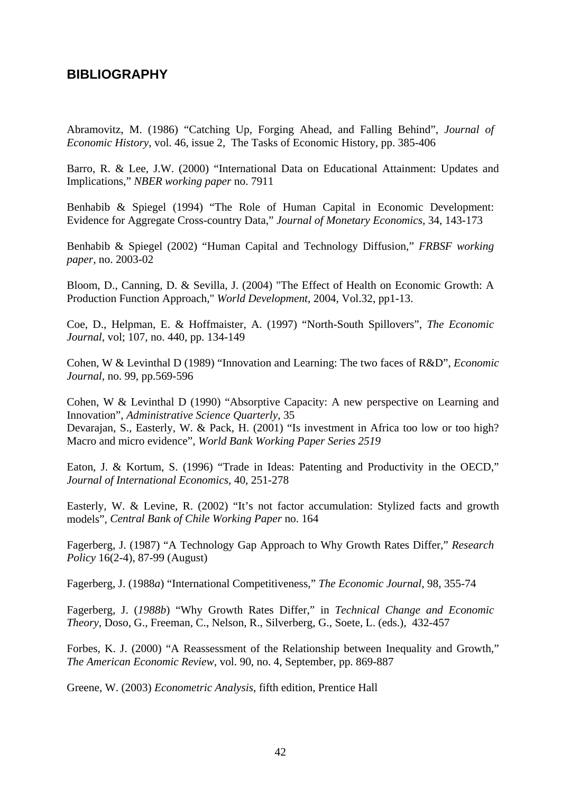## **BIBLIOGRAPHY**

Abramovitz, M. (1986) "Catching Up, Forging Ahead, and Falling Behind", *Journal of Economic History*, vol. 46, issue 2, The Tasks of Economic History, pp. 385-406

Barro, R. & Lee, J.W. (2000) "International Data on Educational Attainment: Updates and Implications," *NBER working paper* no. 7911

Benhabib & Spiegel (1994) "The Role of Human Capital in Economic Development: Evidence for Aggregate Cross-country Data," *Journal of Monetary Economics,* 34, 143-173

Benhabib & Spiegel (2002) "Human Capital and Technology Diffusion," *FRBSF working paper,* no. 2003-02

Bloom, D., Canning, D. & Sevilla, J. (2004) "The Effect of Health on Economic Growth: A Production Function Approach," *World Development*, 2004, Vol.32, pp1-13.

Coe, D., Helpman, E. & Hoffmaister, A. (1997) "North-South Spillovers", *The Economic Journal,* vol; 107, no. 440, pp. 134-149

Cohen, W & Levinthal D (1989) "Innovation and Learning: The two faces of R&D", *Economic Journal,* no. 99, pp.569-596

Cohen, W & Levinthal D (1990) "Absorptive Capacity: A new perspective on Learning and Innovation", *Administrative Science Quarterly*, 35 Devarajan, S., Easterly, W. & Pack, H. (2001) "Is investment in Africa too low or too high? Macro and micro evidence", *World Bank Working Paper Series 2519*

Eaton, J. & Kortum, S. (1996) "Trade in Ideas: Patenting and Productivity in the OECD," *Journal of International Economics,* 40, 251-278

Easterly, W. & Levine, R. (2002) "It's not factor accumulation: Stylized facts and growth models", *Central Bank of Chile Working Paper* no. 164

Fagerberg, J. (1987) "A Technology Gap Approach to Why Growth Rates Differ," *Research Policy* 16(2-4), 87-99 (August)

Fagerberg, J. (1988*a*) "International Competitiveness," *The Economic Journal,* 98, 355-74

Fagerberg, J. (*1988b*) "Why Growth Rates Differ," in *Technical Change and Economic Theory,* Doso, G., Freeman, C., Nelson, R., Silverberg, G., Soete, L. (eds.)*,* 432-457

Forbes, K. J. (2000) "A Reassessment of the Relationship between Inequality and Growth," *The American Economic Review,* vol. 90, no. 4, September, pp. 869-887

Greene, W. (2003) *Econometric Analysis*, fifth edition, Prentice Hall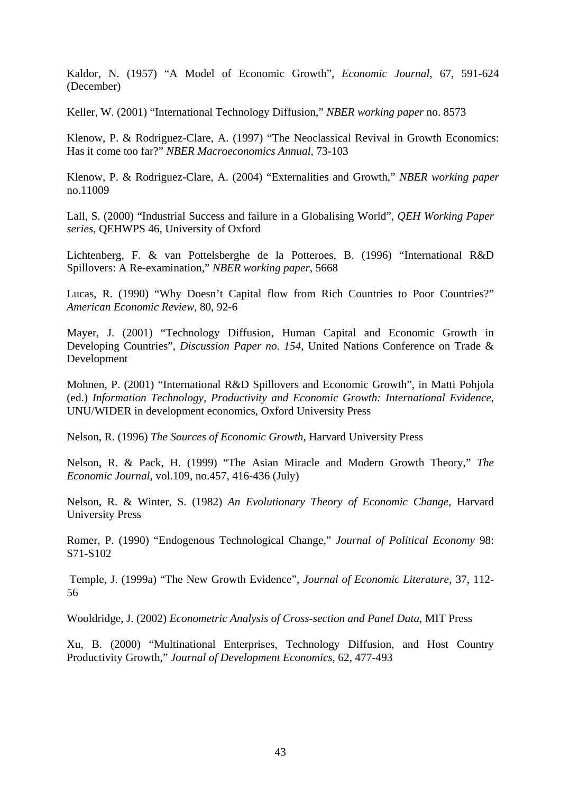Kaldor, N. (1957) "A Model of Economic Growth", *Economic Journal,* 67, 591-624 (December)

Keller, W. (2001) "International Technology Diffusion," *NBER working paper* no. 8573

Klenow, P. & Rodriguez-Clare, A. (1997) "The Neoclassical Revival in Growth Economics: Has it come too far?" *NBER Macroeconomics Annual,* 73-103

Klenow, P. & Rodriguez-Clare, A. (2004) "Externalities and Growth," *NBER working paper* no.11009

Lall, S. (2000) "Industrial Success and failure in a Globalising World", *QEH Working Paper series*, QEHWPS 46, University of Oxford

Lichtenberg, F. & van Pottelsberghe de la Potteroes, B. (1996) "International R&D Spillovers: A Re-examination," *NBER working paper,* 5668

Lucas, R. (1990) "Why Doesn't Capital flow from Rich Countries to Poor Countries?" *American Economic Review*, 80, 92-6

Mayer, J. (2001) "Technology Diffusion, Human Capital and Economic Growth in Developing Countries", *Discussion Paper no. 154*, United Nations Conference on Trade & Development

Mohnen, P. (2001) "International R&D Spillovers and Economic Growth", in Matti Pohjola (ed.) *Information Technology, Productivity and Economic Growth: International Evidence*, UNU/WIDER in development economics, Oxford University Press

Nelson, R. (1996) *The Sources of Economic Growth*, Harvard University Press

Nelson, R. & Pack, H. (1999) "The Asian Miracle and Modern Growth Theory," *The Economic Journal*, vol.109, no.457, 416-436 (July)

Nelson, R. & Winter, S. (1982) *An Evolutionary Theory of Economic Change*, Harvard University Press

Romer, P. (1990) "Endogenous Technological Change," *Journal of Political Economy* 98: S71-S102

 Temple, J. (1999a) "The New Growth Evidence", *Journal of Economic Literature*, 37, 112- 56

Wooldridge, J. (2002) *Econometric Analysis of Cross-section and Panel Data*, MIT Press

Xu, B. (2000) "Multinational Enterprises, Technology Diffusion, and Host Country Productivity Growth," *Journal of Development Economics*, 62, 477-493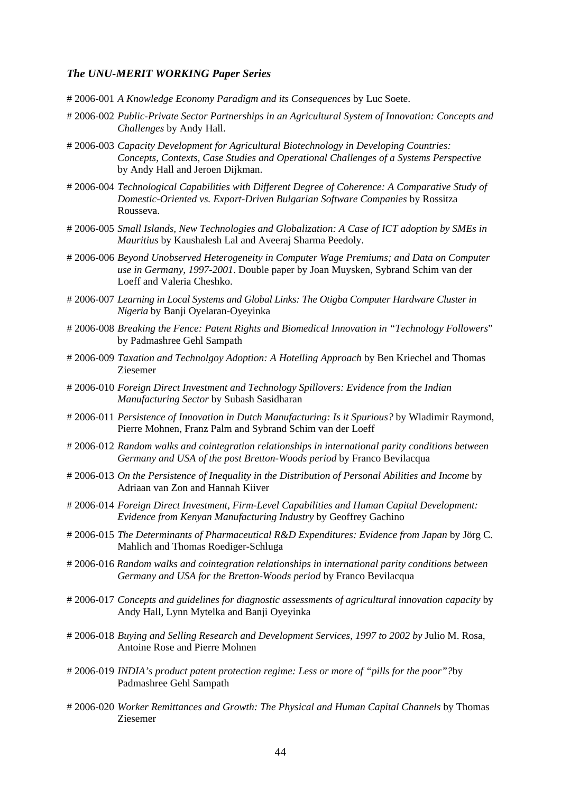#### *The UNU-MERIT WORKING Paper Series*

- # 2006-001 *A Knowledge Economy Paradigm and its Consequences* by Luc Soete.
- # 2006-002 *Public-Private Sector Partnerships in an Agricultural System of Innovation: Concepts and Challenges* by Andy Hall.
- # 2006-003 *Capacity Development for Agricultural Biotechnology in Developing Countries: Concepts, Contexts, Case Studies and Operational Challenges of a Systems Perspective* by Andy Hall and Jeroen Dijkman.
- # 2006-004 *Technological Capabilities with Different Degree of Coherence: A Comparative Study of Domestic-Oriented vs. Export-Driven Bulgarian Software Companies* by Rossitza Rousseva.
- # 2006-005 *Small Islands, New Technologies and Globalization: A Case of ICT adoption by SMEs in Mauritius* by Kaushalesh Lal and Aveeraj Sharma Peedoly.
- # 2006-006 *Beyond Unobserved Heterogeneity in Computer Wage Premiums; and Data on Computer use in Germany, 1997-2001*. Double paper by Joan Muysken, Sybrand Schim van der Loeff and Valeria Cheshko.
- # 2006-007 *Learning in Local Systems and Global Links: The Otigba Computer Hardware Cluster in Nigeria* by Banji Oyelaran-Oyeyinka
- # 2006-008 *Breaking the Fence: Patent Rights and Biomedical Innovation in "Technology Followers*" by Padmashree Gehl Sampath
- # 2006-009 *Taxation and Technolgoy Adoption: A Hotelling Approach* by Ben Kriechel and Thomas Ziesemer
- # 2006-010 *Foreign Direct Investment and Technology Spillovers: Evidence from the Indian Manufacturing Sector* by Subash Sasidharan
- # 2006-011 *Persistence of Innovation in Dutch Manufacturing: Is it Spurious?* by Wladimir Raymond, Pierre Mohnen, Franz Palm and Sybrand Schim van der Loeff
- # 2006-012 *Random walks and cointegration relationships in international parity conditions between Germany and USA of the post Bretton-Woods period* by Franco Bevilacqua
- # 2006-013 *On the Persistence of Inequality in the Distribution of Personal Abilities and Income* by Adriaan van Zon and Hannah Kiiver
- # 2006-014 *Foreign Direct Investment, Firm-Level Capabilities and Human Capital Development: Evidence from Kenyan Manufacturing Industry* by Geoffrey Gachino
- # 2006-015 *The Determinants of Pharmaceutical R&D Expenditures: Evidence from Japan* by Jörg C. Mahlich and Thomas Roediger-Schluga
- # 2006-016 *Random walks and cointegration relationships in international parity conditions between Germany and USA for the Bretton-Woods period* by Franco Bevilacqua
- # 2006-017 *Concepts and guidelines for diagnostic assessments of agricultural innovation capacity* by Andy Hall, Lynn Mytelka and Banji Oyeyinka
- # 2006-018 *Buying and Selling Research and Development Services, 1997 to 2002 by* Julio M. Rosa, Antoine Rose and Pierre Mohnen
- # 2006-019 *INDIA's product patent protection regime: Less or more of "pills for the poor"?*by Padmashree Gehl Sampath
- # 2006-020 *Worker Remittances and Growth: The Physical and Human Capital Channels* by Thomas Ziesemer